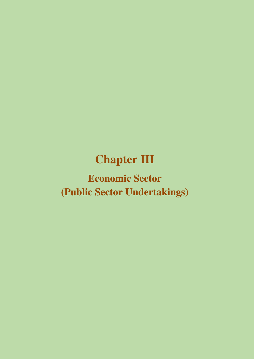# **Chapter III**

# **Economic Sector (Public Sector Undertakings)**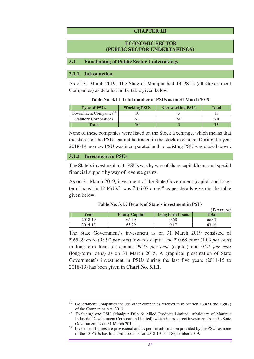#### **CHAPTER III**

#### **ECONOMIC SECTOR (PUBLIC SECTOR UNDERTAKINGS)**

#### **3.1 Functioning of Public Sector Undertakings**

#### **3.1.1 Introduction**

As of 31 March 2019, The State of Manipur had 13 PSUs (all Government Companies) as detailed in the table given below.

|  | Table No. 3.1.1 Total number of PSUs as on 31 March 2019 |
|--|----------------------------------------------------------|
|  |                                                          |

| <b>Type of PSUs</b>                | <b>Working PSUs</b> | <b>Non-working PSUs</b> | <b>Total</b> |
|------------------------------------|---------------------|-------------------------|--------------|
| Government Companies <sup>26</sup> |                     |                         |              |
| <b>Statutory Corporations</b>      |                     |                         | Nil          |
| Total                              |                     |                         |              |

None of these companies were listed on the Stock Exchange, which means that the shares of the PSUs cannot be traded in the stock exchange. During the year 2018-19, no new PSU was incorporated and no existing PSU was closed down.

#### **3.1.2 Investment in PSUs**

The State's investment in its PSUs was by way of share capital/loans and special financial support by way of revenue grants.

As on 31 March 2019, investment of the State Government (capital and longterm loans) in 12 PSUs<sup>27</sup> was  $\bar{\xi}$  66.07 crore<sup>28</sup> as per details given in the table given below.

|  |  |  | Table No. 3.1.2 Details of State's investment in PSUs |  |
|--|--|--|-------------------------------------------------------|--|
|--|--|--|-------------------------------------------------------|--|

 $(\vec{F}$ *in crore*)

|         |                       |                 | $($ \ $($ $($ $\alpha$ $)$ $\alpha$ $)$ $\alpha$ $)$ |
|---------|-----------------------|-----------------|------------------------------------------------------|
| Year    | <b>Equity Capital</b> | Long term Loans | <b>Total</b>                                         |
| 2018-19 | 55.39                 | 9.68            | 66.07                                                |
| 2014-15 | 53. DQ                | ).17            | 63.46                                                |

The State Government's investment as on 31 March 2019 consisted of  $\bar{\xi}$  65.39 crore (98.97 *per cent*) towards capital and  $\bar{\xi}$  0.68 crore (1.03 *per cent*) in long-term loans as against 99.73 *per cent* (capital) and 0.27 *per cent* (long-term loans) as on 31 March 2015. A graphical presentation of State Government's investment in PSUs during the last five years (2014-15 to 2018-19) has been given in **Chart No. 3.1.1**.

 $\overline{a}$ <sup>26</sup> Government Companies include other companies referred to in Section 139(5) and 139(7) of the Companies Act, 2013.

<sup>27</sup> Excluding one PSU (Manipur Pulp & Allied Products Limited, subsidiary of Manipur Industrial Development Corporation Limited), which has no direct investment from the State Government as on 31 March 2019.

<sup>&</sup>lt;sup>28</sup> Investment figures are provisional and as per the information provided by the PSUs as none of the 13 PSUs has finalised accounts for 2018-19 as of September 2019.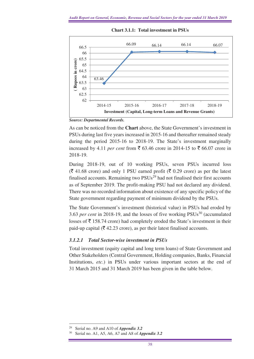

**Chart 3.1.1: Total investment in PSUs** 

*Source: Departmental Records.* 

As can be noticed from the **Chart** above, the State Government's investment in PSUs during last five years increased in 2015-16 and thereafter remained steady during the period 2015-16 to 2018-19. The State's investment marginally increased by 4.11 *per cent* from  $\bar{\mathfrak{g}}$  63.46 crore in 2014-15 to  $\bar{\mathfrak{g}}$  66.07 crore in 2018-19.

During 2018-19, out of 10 working PSUs, seven PSUs incurred loss  $(\bar{\mathcal{F}} 41.68 \text{ core})$  and only 1 PSU earned profit ( $\bar{\mathcal{F}} 0.29$  crore) as per the latest finalised accounts. Remaining two  $PSUs<sup>29</sup>$  had not finalised their first accounts as of September 2019. The profit-making PSU had not declared any dividend. There was no recorded information about existence of any specific policy of the State government regarding payment of minimum dividend by the PSUs.

The State Government's investment (historical value) in PSUs had eroded by 3.63 *per cent* in 2018-19, and the losses of five working PSUs<sup>30</sup> (accumulated losses of  $\bar{\tau}$  158.74 crore) had completely eroded the State's investment in their paid-up capital ( $\bar{\mathcal{F}}$  42.23 crore), as per their latest finalised accounts.

## *3.1.2.1 Total Sector-wise investment in PSUs*

Total investment (equity capital and long term loans) of State Government and Other Stakeholders (Central Government, Holding companies, Banks, Financial Institutions, *etc*.) in PSUs under various important sectors at the end of 31 March 2015 and 31 March 2019 has been given in the table below.

 $\overline{a}$ Serial no. A9 and A10 of *Appendix 3.2* 

Serial no. A1, A5, A6, A7 and A8 of *Appendix 3.2*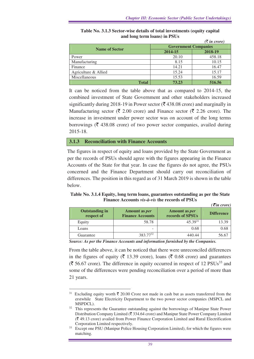|                       |                             | $(\bar{\bar{\mathbf{x}}}$ in crore) |  |  |
|-----------------------|-----------------------------|-------------------------------------|--|--|
|                       | <b>Government Companies</b> |                                     |  |  |
| <b>Name of Sector</b> | 2014-15                     | 2018-19                             |  |  |
| Power                 | 20.10                       | 458.18                              |  |  |
| Manufacturing         | 8.15                        | 10.15                               |  |  |
| Finance               | 14.21                       | 16.47                               |  |  |
| Agriculture & Allied  | 15.24                       | 15.17                               |  |  |
| Miscellaneous         | 15.53                       | 16.59                               |  |  |
| <b>Total</b>          | 73.23                       | 516.56                              |  |  |

**Table No. 3.1.3 Sector-wise details of total investments (equity capital and long term loans) in PSUs** 

It can be noticed from the table above that as compared to 2014-15, the combined investment of State Government and other stakeholders increased significantly during 2018-19 in Power sector ( $\bar{\tau}$  438.08 crore) and marginally in Manufacturing sector ( $\bar{\xi}$  2.00 crore) and Finance sector ( $\bar{\xi}$  2.26 crore). The increase in investment under power sector was on account of the long terms borrowings ( $\bar{\tau}$  438.08 crore) of two power sector companies, availed during 2015-18.

#### **3.1.3 Reconciliation with Finance Accounts**

 $\overline{a}$ 

The figures in respect of equity and loans provided by the State Government as per the records of PSUs should agree with the figures appearing in the Finance Accounts of the State for that year. In case the figures do not agree, the PSUs concerned and the Finance Department should carry out reconciliation of differences. The position in this regard as of 31 March 2019 is shown in the table below.

#### **Table No. 3.1.4 Equity, long term loans, guarantees outstanding as per the State Finance Accounts** *vis-à-vis* **the records of PSUs**  *(*` *in crore)*

| <b>Outstanding in</b><br>respect of | Amount as <i>per</i><br><b>Finance Accounts</b> | Amount as <i>per</i><br>records of SPSUs | <b>Difference</b> |
|-------------------------------------|-------------------------------------------------|------------------------------------------|-------------------|
| Equity                              | 58.78                                           | $45.39^{31}$                             | 13.39             |
| Loans                               | -                                               | 0.68                                     | 0.68              |
| Guarantee                           | 383.77 <sup>32</sup>                            | 440.44                                   | 56.67             |

*Source: As per the Finance Accounts and information furnished by the Companies.*

From the table above, it can be noticed that there were unreconciled differences in the figures of equity ( $\bar{\tau}$  13.39 crore), loans ( $\bar{\tau}$  0.68 crore) and guarantees  $(\overline{\mathfrak{F}} 56.67$  crore). The difference in equity occurred in respect of 12 PSUs<sup>33</sup> and some of the differences were pending reconciliation over a period of more than 21 years.

<sup>&</sup>lt;sup>31</sup> Excluding equity worth  $\bar{\tau}$  20.00 Crore not made in cash but as assets transferred from the erstwhile State Electricity Department to the two power sector companies (MSPCL and MSPDCL).

<sup>&</sup>lt;sup>32</sup> This represents the Guarantee outstanding against the borrowings of Manipur State Power Distribution Company Limited ( $\bar{\mathcal{R}}$  334.64 crore) and Manipur State Power Company Limited  $({\bar$  49.13 crore) availed from Power Finance Corporation Limited and Rural Electrification Corporation Limited respectively.

<sup>&</sup>lt;sup>33</sup> Except one PSU (Manipur Police Housing Corporation Limited), for which the figures were matching.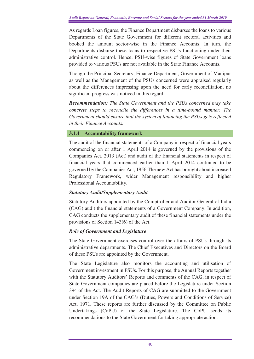As regards Loan figures, the Finance Department disburses the loans to various Departments of the State Government for different sectoral activities and booked the amount sector-wise in the Finance Accounts. In turn, the Departments disburse these loans to respective PSUs functioning under their administrative control. Hence, PSU-wise figures of State Government loans provided to various PSUs are not available in the State Finance Accounts.

Though the Principal Secretary, Finance Department, Government of Manipur as well as the Management of the PSUs concerned were appraised regularly about the differences impressing upon the need for early reconciliation, no significant progress was noticed in this regard.

*Recommendation: The State Government and the PSUs concerned may take concrete steps to reconcile the differences in a time-bound manner. The Government should ensure that the system of financing the PSUs gets reflected in their Finance Accounts.* 

## **3.1.4 Accountability framework**

The audit of the financial statements of a Company in respect of financial years commencing on or after 1 April 2014 is governed by the provisions of the Companies Act, 2013 (Act) and audit of the financial statements in respect of financial years that commenced earlier than 1 April 2014 continued to be governed by the Companies Act, 1956.The new Act has brought about increased Regulatory Framework, wider Management responsibility and higher Professional Accountability.

## *Statutory Audit/Supplementary Audit*

Statutory Auditors appointed by the Comptroller and Auditor General of India (CAG) audit the financial statements of a Government Company. In addition, CAG conducts the supplementary audit of these financial statements under the provisions of Section 143(6) of the Act.

## *Role of Government and Legislature*

The State Government exercises control over the affairs of PSUs through its administrative departments. The Chief Executives and Directors on the Board of these PSUs are appointed by the Government.

The State Legislature also monitors the accounting and utilisation of Government investment in PSUs. For this purpose, the Annual Reports together with the Statutory Auditors' Reports and comments of the CAG, in respect of State Government companies are placed before the Legislature under Section 394 of the Act. The Audit Reports of CAG are submitted to the Government under Section 19A of the CAG's (Duties, Powers and Conditions of Service) Act, 1971. These reports are further discussed by the Committee on Public Undertakings (CoPU) of the State Legislature. The CoPU sends its recommendations to the State Government for taking appropriate action.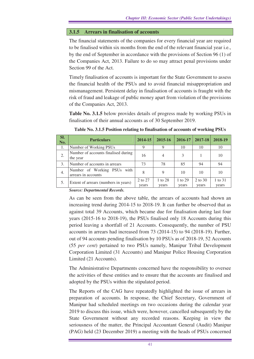#### **3.1.5 Arrears in finalisation of accounts**

The financial statements of the companies for every financial year are required to be finalised within six months from the end of the relevant financial year i.e., by the end of September in accordance with the provisions of Section 96 (1) of the Companies Act, 2013. Failure to do so may attract penal provisions under Section 99 of the Act.

Timely finalisation of accounts is important for the State Government to assess the financial health of the PSUs and to avoid financial misappropriation and mismanagement. Persistent delay in finalisation of accounts is fraught with the risk of fraud and leakage of public money apart from violation of the provisions of the Companies Act, 2013.

**Table No. 3.1.5** below provides details of progress made by working PSUs in finalisation of their annual accounts as of 30 September 2019.

| SI.<br>No. | <b>Particulars</b>                                 | 2014-15          | 2015-16          | 2016-17          | 2017-18          | 2018-19          |
|------------|----------------------------------------------------|------------------|------------------|------------------|------------------|------------------|
| 1.         | Number of Working PSUs                             |                  |                  | 10               | 10               | 10               |
| 2.         | Number of accounts finalised during<br>the year    | 16               | 4                | 3                |                  | 10               |
| 3.         | Number of accounts in arrears                      | 73               | 78               | 85               | 94               | 94               |
| 4.         | Number of Working PSUs with<br>arrears in accounts | 8                | 9                | 10               | 10               | 10               |
| 5.         | Extent of arrears (numbers in years)               | 2 to 27<br>years | 1 to 28<br>years | 1 to 29<br>years | 2 to 30<br>years | 1 to 31<br>years |

**Table No. 3.1.5 Position relating to finalisation of accounts of working PSUs** 

*Source: Departmental Records.* 

As can be seen from the above table, the arrears of accounts had shown an increasing trend during 2014-15 to 2018-19. It can further be observed that as against total 39 Accounts, which became due for finalisation during last four years (2015-16 to 2018-19), the PSUs finalised only 18 Accounts during this period leaving a shortfall of 21 Accounts. Consequently, the number of PSU accounts in arrears had increased from 73 (2014-15) to 94 (2018-19). Further, out of 94 accounts pending finalisation by 10 PSUs as of 2018-19, 52 Accounts (55 *per cent*) pertained to two PSUs namely, Manipur Tribal Development Corporation Limited (31 Accounts) and Manipur Police Housing Corporation Limited (21 Accounts).

The Administrative Departments concerned have the responsibility to oversee the activities of these entities and to ensure that the accounts are finalised and adopted by the PSUs within the stipulated period.

The Reports of the CAG have repeatedly highlighted the issue of arrears in preparation of accounts. In response, the Chief Secretary, Government of Manipur had scheduled meetings on two occasions during the calendar year 2019 to discuss this issue, which were, however, cancelled subsequently by the State Government without any recorded reasons. Keeping in view the seriousness of the matter, the Principal Accountant General (Audit) Manipur (PAG) held (23 December 2019) a meeting with the heads of PSUs concerned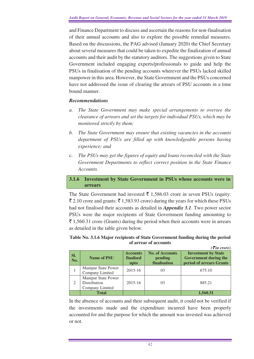and Finance Department to discuss and ascertain the reasons for non-finalisation of their annual accounts and also to explore the possible remedial measures. Based on the discussions, the PAG advised (January 2020) the Chief Secretary about several measures that could be taken to expedite the finalization of annual accounts and their audit by the statutory auditors. The suggestions given to State Government included engaging experts/professionals to guide and help the PSUs in finalisation of the pending accounts wherever the PSUs lacked skilled manpower in this area. However, the State Government and the PSUs concerned have not addressed the issue of clearing the arrears of PSU accounts in a time bound manner.

## *Recommendations*

- *a. The State Government may make special arrangements to oversee the clearance of arrears and set the targets for individual PSUs, which may be monitored strictly by them;*
- *b. The State Government may ensure that existing vacancies in the accounts department of PSUs are filled up with knowledgeable persons having experience; and*
- c. *The PSUs may get the figures of equity and loans reconciled with the State Government Departments to reflect correct position in the State Finance Accounts.*

#### **3.1.6 Investment by State Government in PSUs whose accounts were in arrears**

The State Government had invested  $\bar{\tau}$  1,586.03 crore in seven PSUs (equity:  $\bar{\xi}$  2.10 crore and grants:  $\bar{\xi}$  1,583.93 crore) during the years for which these PSUs had not finalised their accounts as detailed in *Appendix 3.1*. Two power sector PSUs were the major recipients of State Government funding amounting to  $\bar{\tau}$  1,560.31 crore (Grants) during the period when their accounts were in arrears as detailed in the table given below.

#### **Table No. 3.1.6 Major recipients of State Government funding during the period of arrear of accounts**

|               |                                                        |                                      |                                                   | $\overline{\xi}$ in crore)                                                             |
|---------------|--------------------------------------------------------|--------------------------------------|---------------------------------------------------|----------------------------------------------------------------------------------------|
| Sl.<br>No.    | <b>Name of PSU</b>                                     | <b>Accounts</b><br>finalised<br>upto | <b>No. of Accounts</b><br>pending<br>finalisation | <b>Investment by State</b><br><b>Government during the</b><br>period of arrears Grants |
|               | Manipur State Power<br>Company Limited                 | 2015-16                              | 03                                                | 675.10                                                                                 |
| $\mathcal{L}$ | Manipur State Power<br>Distribution<br>Company Limited | 2015-16                              | 03                                                | 885.21                                                                                 |
|               | <b>Total</b>                                           |                                      |                                                   | 1,560.31                                                                               |

In the absence of accounts and their subsequent audit, it could not be verified if the investments made and the expenditure incurred have been properly accounted for and the purpose for which the amount was invested was achieved or not.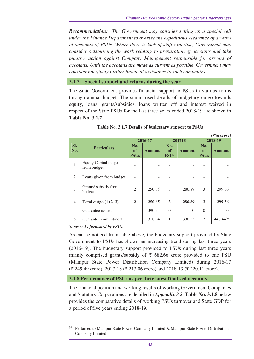*Recommendation: The Government may consider setting up a special cell under the Finance Department to oversee the expeditious clearance of arrears of accounts of PSUs. Where there is lack of staff expertise, Government may consider outsourcing the work relating to preparation of accounts and take punitive action against Company Management responsible for arrears of accounts. Until the accounts are made as current as possible, Government may consider not giving further financial assistance to such companies.* 

#### **3.1.7 Special support and returns during the year**

The State Government provides financial support to PSUs in various forms through annual budget. The summarised details of budgetary outgo towards equity, loans, grants/subsidies, loans written off and interest waived in respect of the State PSUs for the last three years ended 2018-19 are shown in **Table No. 3.1.7**.

|                         |                                     |                                 |               |                                 |               |                          | $( \bar{\mathbf{\xi}}$ in crore) |
|-------------------------|-------------------------------------|---------------------------------|---------------|---------------------------------|---------------|--------------------------|----------------------------------|
|                         |                                     |                                 | 2016-17       |                                 | 201718        | 2018-19                  |                                  |
| Sl.<br>No.              | <b>Particulars</b>                  | No.<br><b>of</b><br><b>PSUs</b> | <b>Amount</b> | No.<br><b>of</b><br><b>PSUs</b> | <b>Amount</b> | No.<br>of<br><b>PSUs</b> | <b>Amount</b>                    |
| $\mathbf{1}$            | Equity Capital outgo<br>from budget |                                 |               |                                 |               |                          |                                  |
| 2                       | Loans given from budget             |                                 | ۰             |                                 |               |                          |                                  |
| 3                       | Grants/ subsidy from<br>budget      | $\overline{2}$                  | 250.65        | 3                               | 286.89        | 3                        | 299.36                           |
| $\overline{\mathbf{4}}$ | Total outgo $(1+2+3)$               | $\mathbf{2}$                    | 250.65        | 3                               | 286.89        | 3                        | 299.36                           |
| 5                       | Guarantee issued                    | 1                               | 390.55        | $\theta$                        | $\Omega$      | $\theta$                 | $\Omega$                         |
| 6                       | Guarantee commitment                | 1                               | 318.94        | 1                               | 390.55        | $\overline{2}$           | $440.44^{34}$                    |

#### **Table No. 3.1.7 Details of budgetary support to PSUs**

*Source: As furnished by PSUs.*

As can be noticed from table above, the budgetary support provided by State Government to PSUs has shown an increasing trend during last three years (2016-19). The budgetary support provided to PSUs during last three years mainly comprised grants/subsidy of  $\overline{5}$  682.66 crore provided to one PSU (Manipur State Power Distribution Company Limited) during 2016-17  $(\bar{\mathcal{F}} 249.49 \text{ core})$ , 2017-18 ( $\bar{\mathcal{F}} 213.06 \text{ core}$ ) and 2018-19 ( $\bar{\mathcal{F}} 220.11 \text{ core}$ ).

#### **3.1.8 Performance of PSUs as per their latest finalised accounts**

The financial position and working results of working Government Companies and Statutory Corporations are detailed in *Appendix 3.2.* **Table No. 3.1.8** below provides the comparative details of working PSUs turnover and State GDP for a period of five years ending 2018-19.

 $\overline{a}$ <sup>34</sup> Pertained to Manipur State Power Company Limited & Manipur State Power Distribution Company Limited.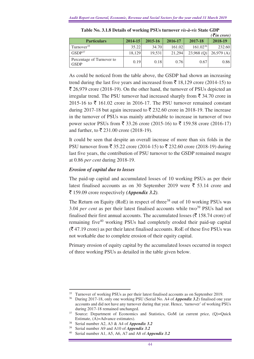|                                          |             |         |         |               | $( \bar{\mathbf{\mathcal{F}}}$ in crore) |
|------------------------------------------|-------------|---------|---------|---------------|------------------------------------------|
| <b>Particulars</b>                       | $2014 - 15$ | 2015-16 | 2016-17 | 2017-18       | 2018-19                                  |
| Turnover <sup>35</sup>                   | 35.22       | 34.70   | 161.02  | $161.02^{36}$ | 232.60                                   |
| GSDP <sup>37</sup>                       | 18,129      | 19,531  | 21,294  | $23,968$ (Q)  | 26,979(A)                                |
| Percentage of Turnover to<br><b>GSDP</b> | 0.19        | 0.18    | 0.76    | 0.67          | 0.86                                     |

**Table No. 3.1.8 Details of working PSUs turnover** *vis-à-vis* **State GDP** 

As could be noticed from the table above, the GSDP had shown an increasing trend during the last five years and increased from  $\bar{\tau}$  18,129 crore (2014-15) to  $\bar{\mathcal{L}}$  26,979 crore (2018-19). On the other hand, the turnover of PSUs depicted an irregular trend. The PSU turnover had increased sharply from  $\bar{\tau}$  34.70 crore in 2015-16 to  $\bar{\xi}$  161.02 crore in 2016-17. The PSU turnover remained constant during 2017-18 but again increased to  $\bar{\xi}$  232.60 crore in 2018-19. The increase in the turnover of PSUs was mainly attributable to increase in turnover of two power sector PSUs from ₹ 33.26 crore (2015-16) to ₹ 159.58 crore (2016-17) and further, to  $\bar{\mathfrak{Z}}$  231.00 crore (2018-19).

It could be seen that despite an overall increase of more than six folds in the PSU turnover from ₹ 35.22 crore (2014-15) to ₹ 232.60 crore (2018-19) during last five years, the contribution of PSU turnover to the GSDP remained meagre at 0.86 *per cent* during 2018-19.

#### *Erosion of capital due to losses*

The paid-up capital and accumulated losses of 10 working PSUs as per their latest finalised accounts as on 30 September 2019 were  $\bar{\tau}$  53.14 crore and ` 159.09 crore respectively *(Appendix 3.2).* 

The Return on Equity (RoE) in respect of three<sup>38</sup> out of 10 working PSUs was 3.04 *per cent* as per their latest finalised accounts while two<sup>39</sup> PSUs had not finalised their first annual accounts. The accumulated losses ( $\bar{\tau}$  158.74 crore) of remaining five<sup>40</sup> working PSUs had completely eroded their paid-up capital  $(\overline{\mathcal{R}}$  47.19 crore) as per their latest finalised accounts. RoE of these five PSUs was not workable due to complete erosion of their equity capital.

Primary erosion of equity capital by the accumulated losses occurred in respect of three working PSUs as detailed in the table given below.

<sup>&</sup>lt;sup>35</sup> Turnover of working PSUs as per their latest finalised accounts as on September 2019.

<sup>36</sup> During 2017-18, only one working PSU (Serial No. A4 of *Appendix 3.2*) finalised one year accounts and did not have any turnover during that year. Hence, 'turnover' of working PSUs during 2017-18 remained unchanged.

<sup>&</sup>lt;sup>37</sup> Source: Department of Economics and Statistics, GoM (at current price, (Q)=Quick Estimate, (A)=Advance estimates).

<sup>38</sup> Serial number A2, A3 & A4 of *Appendix 3.2*

Serial number A9 and A10 of *Appendix 3.2* 

<sup>40</sup> Serial number A1, A5, A6, A7 and A8 of *Appendix 3.2*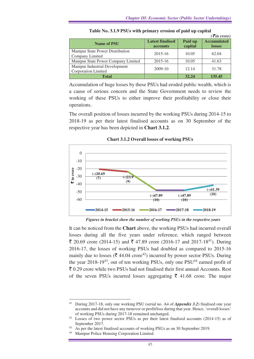|                                                       |                                            |                    | $\left( \bar{\xi}$ in crore)        |
|-------------------------------------------------------|--------------------------------------------|--------------------|-------------------------------------|
| <b>Name of PSU</b>                                    | <b>Latest finalised</b><br><b>accounts</b> | Paid up<br>capital | <b>Accumulated</b><br><b>losses</b> |
| Manipur State Power Distribution<br>Company Limited   | 2015-16                                    | 10.05              | 62.04                               |
| Manipur State Power Company Limited                   | 2015-16                                    | 10.05              | 41.63                               |
| Manipur Industrial Development<br>Corporation Limited | 2009-10                                    | 12.14              | 31.78                               |
| <b>Total</b>                                          |                                            | 32.24              | 135.45                              |

**Table No. 3.1.9 PSUs with primary erosion of paid up capital** 

Accumulation of huge losses by these PSUs had eroded public wealth, which is a cause of serious concern and the State Government needs to review the working of these PSUs to either improve their profitability or close their operations.

The overall position of losses incurred by the working PSUs during 2014-15 to 2018-19 as per their latest finalised accounts as on 30 September of the respective year has been depicted in **Chart 3.1.2**.



**Chart 3.1.2 Overall losses of working PSUs** 

*Figures in bracket show the number of working PSUs in the respective years* 

It can be noticed from the **Chart** above, the working PSUs had incurred overall losses during all the five years under reference, which ranged between  $\bar{\xi}$  20.69 crore (2014-15) and  $\bar{\xi}$  47.89 crore (2016-17 and 2017-18<sup>41</sup>). During 2016-17, the losses of working PSUs had doubled as compared to 2015-16 mainly due to losses ( $\bar{\mathcal{F}}$  44.04 crore<sup>42</sup>) incurred by power sector PSUs. During the year  $2018-19^{43}$ , out of ten working PSUs, only one PSU<sup>44</sup> earned profit of  $\bar{\tau}$  0.29 crore while two PSUs had not finalised their first annual Accounts. Rest of the seven PSUs incurred losses aggregating  $\bar{\tau}$  41.68 crore. The major

<sup>41</sup> During 2017-18, only one working PSU (serial no. A4 of *Appendix 3.2*) finalised one year accounts and did not have any turnover or profit/loss during that year. Hence, 'overall losses' of working PSUs during 2017-18 remained unchanged.

<sup>42</sup> Losses of two power sector PSUs as per their latest finalised accounts (2014-15) as of September 2017.

<sup>&</sup>lt;sup>43</sup> As per the latest finalised accounts of working PSUs as on 30 September 2019.<br><sup>44</sup> Manipur Police Housing Corporation I imited

Manipur Police Housing Corporation Limited.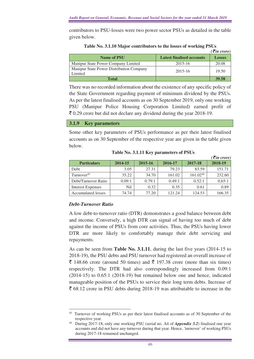contributors to PSU-losses were two power sector PSUs as detailed in the table given below.

|                                                     |                                  | $\left( \bar{\boldsymbol{\xi}}$ in crore) |
|-----------------------------------------------------|----------------------------------|-------------------------------------------|
| <b>Name of PSU</b>                                  | <b>Latest finalised accounts</b> | <b>Losses</b>                             |
| Manipur State Power Company Limited                 | 2015-16                          | 20.08                                     |
| Manipur State Power Distribution Company<br>Limited | $2015 - 16$                      | 19.50                                     |
| Total                                               |                                  | 39.58                                     |

**Table No. 3.1.10 Major contributors to the losses of working PSUs** 

There was no recorded information about the existence of any specific policy of the State Government regarding payment of minimum dividend by the PSUs. As per the latest finalised accounts as on 30 September 2019, only one working PSU (Manipur Police Housing Corporation Limited) earned profit of  $\bar{\xi}$  0.29 crore but did not declare any dividend during the year 2018-19.

#### **3.1.9 Key parameters**

Some other key parameters of PSUs performance as per their latest finalised accounts as on 30 September of the respective year are given in the table given below.

|                          |         |         |         |          | $\overline{\mathcal{F}}$ in crore) |
|--------------------------|---------|---------|---------|----------|------------------------------------|
| <b>Particulars</b>       | 2014-15 | 2015-16 | 2016-17 | 2017-18  | 2018-19                            |
| Debt                     | 3.05    | 27.31   | 79.23   | 83.59    | 151.71                             |
| Turnover <sup>45</sup>   | 35.22   | 34.70   | 161.02  | 161.0246 | 232.60                             |
| Debt/Turnover Ratio      | 0.09:1  | 0.79:1  | 0.49:1  | 0.52:1   | 0.65:1                             |
| <b>Interest Expenses</b> | Nil     | 0.32    | 0.35    | 0.61     | 0.89                               |
| Accumulated losses       | 74.74   | 77.20   | 121.24  | 124.53   | 166.35                             |

**Table No. 3.1.11 Key parameters of PSUs** 

## *Debt-Turnover Ratio*

A low debt-to-turnover ratio (DTR) demonstrates a good balance between debt and income. Conversely, a high DTR can signal of having too much of debt against the income of PSUs from core activities. Thus, the PSUs having lower DTR are more likely to comfortably manage their debt servicing and repayments.

As can be seen from **Table No. 3.1.11**, during the last five years (2014-15 to 2018-19), the PSU debts and PSU turnover had registered an overall increase of  $\bar{\xi}$  148.66 crore (around 50 times) and  $\bar{\xi}$  197.38 crore (more than six times) respectively. The DTR had also correspondingly increased from 0.09:1 (2014-15) to 0.65:1 (2018-19) but remained below one and hence, indicated manageable position of the PSUs to service their long term debts. Increase of  $\bar{\xi}$  68.12 crore in PSU debts during 2018-19 was attributable to increase in the

 $\overline{a}$ <sup>45</sup> Turnover of working PSUs as per their latest finalised accounts as of 30 September of the respective year.

<sup>46</sup> During 2017-18, only one working PSU (serial no. A4 of *Appendix 3.2*) finalised one year accounts and did not have any turnover during that year. Hence, 'turnover' of working PSUs during 2017-18 remained unchanged.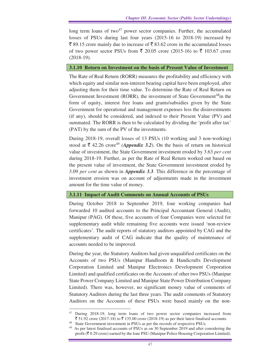long term loans of two<sup>47</sup> power sector companies. Further, the accumulated losses of PSUs during last four years (2015-16 to 2018-19) increased by  $\bar{\xi}$  89.15 crore mainly due to increase of  $\bar{\xi}$  83.62 crore in the accumulated losses of two power sector PSUs from  $\bar{\xi}$  20.05 crore (2015-16) to  $\bar{\xi}$  103.67 crore (2018-19).

## **3.1.10 Return on Investment on the basis of Present Value of Investment**

The Rate of Real Return (RORR) measures the profitability and efficiency with which equity and similar non-interest bearing capital have been employed, after adjusting them for their time value. To determine the Rate of Real Return on Government Investment (RORR), the investment of State Government<sup>48</sup>in the form of equity, interest free loans and grants/subsidies given by the State Government for operational and management expenses less the disinvestments (if any), should be considered, and indexed to their Present Value (PV) and summated. The RORR is then to be calculated by dividing the 'profit after tax' (PAT) by the sum of the PV of the investments.

During 2018-19, overall losses of 13 PSUs (10 working and 3 non-working) stood at  $\bar{\xi}$  42.26 crore<sup>49</sup> *(Appendix 3.2)*. On the basis of return on historical value of investment, the State Government investment eroded by 3.63 *per cent* during 2018-19. Further, as per the Rate of Real Return worked out based on the present value of investment, the State Government investment eroded by 3.09 *per cent* as shown in *Appendix 3.3.* This difference in the percentage of investment erosion was on account of adjustments made in the investment amount for the time value of money.

## **3.1.11 Impact of Audit Comments on Annual Accounts of PSUs**

During October 2018 to September 2019, four working companies had forwarded 10 audited accounts to the Principal Accountant General (Audit), Manipur (PAG). Of these, five accounts of four Companies were selected for supplementary audit while remaining five accounts were issued 'non-review certificates'. The audit reports of statutory auditors appointed by CAG and the supplementary audit of CAG indicate that the quality of maintenance of accounts needed to be improved.

During the year, the Statutory Auditors had given unqualified certificates on the Accounts of two PSUs (Manipur Handloom & Handicrafts Development Corporation Limited and Manipur Electronics Development Corporation Limited) and qualified certificates on the Accounts of other two PSUs (Manipur State Power Company Limited and Manipur State Power Distribution Company Limited). There was, however, no significant money value of comments of Statutory Auditors during the last three years. The audit comments of Statutory Auditors on the Accounts of these PSUs were based mainly on the non-

 $\overline{a}$ <sup>47</sup> During 2018-19, long term loans of two power sector companies increased from ₹ 51.92 crore (2017-18) to ₹ 135.00 crore (2018-19) as per their latest finalised accounts.

<sup>&</sup>lt;sup>48</sup> State Government investment in PSUs as per the records of respective PSUs.

<sup>&</sup>lt;sup>49</sup> As per latest finalised accounts of PSUs as on 30 September 2019 and after considering the profit ( $\bar{\mathcal{F}}$  0.29 crore) earned by the lone PSU (Manipur Police Housing Corporation Limited).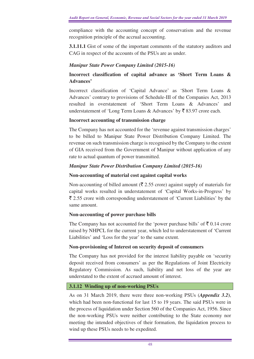compliance with the accounting concept of conservatism and the revenue recognition principle of the accrual accounting.

**3.1.11.1** Gist of some of the important comments of the statutory auditors and CAG in respect of the accounts of the PSUs are as under.

## *Manipur State Power Company Limited (2015-16)*

## **Incorrect classification of capital advance as 'Short Term Loans & Advances'**

Incorrect classification of 'Capital Advance' as 'Short Term Loans & Advances' contrary to provisions of Schedule-III of the Companies Act, 2013 resulted in overstatement of 'Short Term Loans & Advances' and understatement of 'Long Term Loans & Advances' by  $\bar{\xi}$  83.97 crore each.

## **Incorrect accounting of transmission charge**

The Company has not accounted for the 'revenue against transmission charges' to be billed to Manipur State Power Distribution Company Limited. The revenue on such transmission charge is recognised by the Company to the extent of GIA received from the Government of Manipur without application of any rate to actual quantum of power transmitted.

## *Manipur State Power Distribution Company Limited (2015-16)*

## **Non-accounting of material cost against capital works**

Non-accounting of billed amount ( $\bar{\tau}$  2.55 crore) against supply of materials for capital works resulted in understatement of 'Capital Works-in-Progress' by  $\bar{\xi}$  2.55 crore with corresponding understatement of 'Current Liabilities' by the same amount.

## **Non-accounting of power purchase bills**

The Company has not accounted for the 'power purchase bills' of  $\bar{\xi}$  0.14 crore raised by NHPCL for the current year, which led to understatement of 'Current Liabilities' and 'Loss for the year' to the same extent.

## **Non-provisioning of Interest on security deposit of consumers**

The Company has not provided for the interest liability payable on 'security deposit received from consumers' as per the Regulations of Joint Electricity Regulatory Commission. As such, liability and net loss of the year are understated to the extent of accrued amount of interest.

## **3.1.12 Winding up of non-working PSUs**

As on 31 March 2019, there were three non-working PSUs (*Appendix 3.2***)**, which had been non-functional for last 15 to 19 years. The said PSUs were in the process of liquidation under Section 560 of the Companies Act, 1956. Since the non-working PSUs were neither contributing to the State economy nor meeting the intended objectives of their formation, the liquidation process to wind up these PSUs needs to be expedited.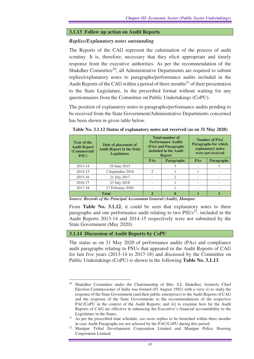## **3.1.13 Follow up action on Audit Reports**

## *Replies/Explanatory notes outstanding*

The Reports of the CAG represent the culmination of the process of audit scrutiny. It is, therefore, necessary that they elicit appropriate and timely response from the executive authorities. As per the recommendation of the Shakdher Committee<sup>50</sup>, all Administrative Departments are required to submit replies/explanatory notes to paragraphs/performance audits included in the Audit Reports of the CAG within a period of three months<sup>51</sup> of their presentation to the State Legislature, in the prescribed format without waiting for any questionnaires from the Committee on Public Undertakings (CoPU).

The position of explanatory notes to paragraphs/performance audits pending to be received from the State Government/Administrative Departments concerned has been shown in given table below.

| <b>Year of the</b><br><b>Audit Report</b><br>(Commercial/<br><b>PSU</b> ) | Date of placement of<br><b>Audit Report in the State</b><br>Legislature | <b>Total number of</b><br><b>Performance Audits</b><br>(PAs) and Paragraphs<br>included in the Audit<br><b>Report</b> |                   | <b>Number of PAs/</b><br><b>Paragraphs for which</b><br>explanatory notes<br>were not received |                   |
|---------------------------------------------------------------------------|-------------------------------------------------------------------------|-----------------------------------------------------------------------------------------------------------------------|-------------------|------------------------------------------------------------------------------------------------|-------------------|
|                                                                           |                                                                         | PAs                                                                                                                   | <b>Paragraphs</b> | <b>PAs</b>                                                                                     | <b>Paragraphs</b> |
| 2013-14                                                                   | 29 June 2015                                                            |                                                                                                                       | 3                 |                                                                                                |                   |
| 2014-15                                                                   | 2 September 2016                                                        | $\mathfrak{D}$                                                                                                        |                   |                                                                                                |                   |
| 2015-16                                                                   | 21 July 2017                                                            |                                                                                                                       | $\mathfrak{D}$    |                                                                                                |                   |
| 2016-17                                                                   | 23 July 2018                                                            |                                                                                                                       |                   |                                                                                                |                   |
| 2017-18                                                                   | 17 February 2020                                                        |                                                                                                                       |                   |                                                                                                |                   |
|                                                                           | <b>Total</b>                                                            | $\overline{2}$                                                                                                        | 8                 |                                                                                                | 3                 |

**Table No. 3.1.12 Status of explanatory notes not received (as on 31 May 2020)** 

*Source: Records of the Principal Accountant General (Audit), Manipur.* 

From **Table No. 3.1.12**, it could be seen that explanatory notes to three paragraphs and one performance audit relating to two  $PSUs^{52}$ , included in the Audit Reports 2013-14 and 2014-15 respectively were not submitted by the State Government (May 2020).

#### **3.1.14 Discussion of Audit Reports by CoPU**

The status as on 31 May 2020 of performance audits (PAs) and compliance audit paragraphs relating to PSUs that appeared in the Audit Reports of CAG for last five years (2013-14 to 2017-18) and discussed by the Committee on Public Undertakings (CoPU) is shown in the following **Table No. 3.1.13**.

 $\overline{a}$ <sup>50</sup> Shakdher Committee under the Chairmanship of Shri. S.L Shakdher, formerly Chief Election Commissioner of India was formed (01 August 1992) with a view (i) to study the response of the State Government (and their public enterprises) to the Audit Reports of CAG and the response of the State Governments to the recommendations of the respective PAC/CoPU in the context of the Audit Reports; and (ii) to examine how far the Audit Reports of CAG are effective in enhancing the Executive's financial accountability to the Legislature in the States.

<sup>51</sup> As per the prescribed time schedule, *suo moto* replies to be furnished within three months in case Audit Paragraphs are not selected by the PAC/CoPU during this period.

<sup>52</sup> Manipur Tribal Development Corporation Limited and Manipur Police Housing Corporation Limited.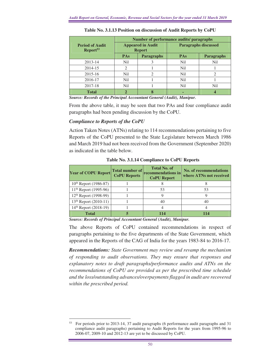|                                                | Number of performance audits/ paragraphs  |                   |                             |                             |  |  |
|------------------------------------------------|-------------------------------------------|-------------------|-----------------------------|-----------------------------|--|--|
| <b>Period of Audit</b><br>Report <sup>53</sup> | <b>Appeared in Audit</b><br><b>Report</b> |                   | <b>Paragraphs discussed</b> |                             |  |  |
|                                                | <b>PAs</b>                                | <b>Paragraphs</b> | <b>PAs</b>                  | <b>Paragraphs</b>           |  |  |
| 2013-14                                        | N <sub>i</sub> l                          | 3                 | N <sub>i</sub>              | N <sub>i</sub>              |  |  |
| 2014-15                                        | $\mathcal{D}_{\mathcal{L}}$               |                   | N <sub>i</sub>              |                             |  |  |
| 2015-16                                        | N <sub>i</sub> l                          | $\mathfrak{D}$    | N <sub>i</sub>              | $\mathcal{D}_{\mathcal{A}}$ |  |  |
| 2016-17                                        | N <sub>i</sub> l                          |                   | Nil.                        |                             |  |  |
| 2017-18                                        | N <sub>i</sub> l                          |                   | N <sub>i</sub>              | N <sub>i</sub>              |  |  |
| <b>Total</b>                                   | $\mathcal{D}_{\mathcal{L}}$               | 8                 | -                           |                             |  |  |

**Table No. 3.1.13 Position on discussion of Audit Reports by CoPU** 

*Source: Records of the Principal Accountant General (Audit), Manipur.* 

From the above table, it may be seen that two PAs and four compliance audit paragraphs had been pending discussion by the CoPU.

#### *Compliance to Reports of the CoPU*

Action Taken Notes (ATNs) relating to 114 recommendations pertaining to five Reports of the CoPU presented to the State Legislature between March 1986 and March 2019 had not been received from the Government (September 2020) as indicated in the table below.

| Year of COPU Report Total number of | <b>CoPU Reports</b> | <b>Total No. of</b><br><b>recommendations in</b><br><b>CoPU Report</b> | <b>No. of recommendations</b><br>where ATNs not received |
|-------------------------------------|---------------------|------------------------------------------------------------------------|----------------------------------------------------------|
| $10^{th}$ Report (1986-87)          |                     |                                                                        |                                                          |
| $11th$ Report (1995-96)             |                     | 53                                                                     | 53                                                       |
| 12 <sup>th</sup> Report (1998-99)   |                     |                                                                        |                                                          |
| $13th$ Report (2010-11)             |                     | 40                                                                     |                                                          |
| 14 <sup>th</sup> Report (2018-19)   |                     |                                                                        |                                                          |
| <b>Total</b>                        |                     | 114                                                                    | 114                                                      |

**Table No. 3.1.14 Compliance to CoPU Reports** 

*Source: Records of Principal Accountant General (Audit), Manipur.* 

The above Reports of CoPU contained recommendations in respect of paragraphs pertaining to the five departments of the State Government, which appeared in the Reports of the CAG of India for the years 1983-84 to 2016-17.

*Recommendations: State Government may review and revamp the mechanism of responding to audit observations. They may ensure that responses and explanatory notes to draft paragraphs/performance audits and ATNs on the recommendations of CoPU are provided as per the prescribed time schedule and the loss/outstanding advances/overpayments flagged in audit are recovered within the prescribed period.*

 $\overline{a}$ <sup>53</sup> For periods prior to 2013-14, 37 audit paragraphs (6 performance audit paragraphs and 31 compliance audit paragraphs) pertaining to Audit Reports for the years from 1995-96 to 2006-07, 2009-10 and 2012-13 are yet to be discussed by CoPU.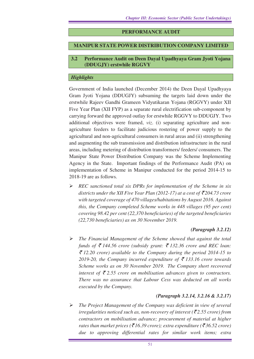## **PERFORMANCE AUDIT**

## **MANIPUR STATE POWER DISTRIBUTION COMPANY LIMITED**

#### **3.2 Performance Audit on Deen Dayal Upadhyaya Gram Jyoti Yojana (DDUGJY) erstwhile RGGVY**

## *Highlights*

Government of India launched (December 2014) the Deen Dayal Upadhyaya Gram Jyoti Yojana (DDUGJY) subsuming the targets laid down under the erstwhile Rajeev Gandhi Grameen Vidyutikaran Yojana (RGGVY) under XII Five Year Plan (XII FYP) as a separate rural electrification sub-component by carrying forward the approved outlay for erstwhile RGGVY to DDUGJY. Two additional objectives were framed, *viz*. (i) separating agriculture and nonagriculture feeders to facilitate judicious rostering of power supply to the agricultural and non-agricultural consumers in rural areas and (ii) strengthening and augmenting the sub transmission and distribution infrastructure in the rural areas, including metering of distribution transformers/ feeders/ consumers. The Manipur State Power Distribution Company was the Scheme Implementing Agency in the State. Important findings of the Performance Audit (PA) on implementation of Scheme in Manipur conducted for the period 2014-15 to 2018-19 are as follows.

 *REC sanctioned total six DPRs for implementation of the Scheme in six districts under the XII Five Year Plan (2012-17) at a cost of*  $\overline{\mathcal{F}}$ *204.73 crore with targeted coverage of 470 villages/habitations by August 2016. Against this, the Company completed Scheme works in 448 villages (95 per cent) covering 98.42 per cent (22,370 beneficiaries) of the targeted beneficiaries (22,730 beneficiaries) as on 30 November 2019.* 

## *(Paragraph 3.2.12)*

 *The Financial Management of the Scheme showed that against the total funds of ₹ 144.56 crore (subsidy grant: ₹ 132.36 crore and REC loan:* ` *12.20 crore) available to the Company during the period 2014-15 to*  2019-20, the Company incurred expenditure of  $\bar{\tau}$  133.16 crore towards *Scheme works as on 30 November 2019. The Company short recovered*  interest of  $\bar{\xi}$  2.55 crore on mobilisation advances given to contractors. *There was no assurance that Labour Cess was deducted on all works executed by the Company.*

## *(Paragraph 3.2.14, 3.2.16 & 3.2.17)*

 *The Project Management of the Company was deficient in view of several irregularities noticed such as, non-recovery of interest (* $\overline{\xi}$ *2.55 crore) from contractors on mobilisation advance; procurement of material at higher rates than market prices (* $\overline{$}16.39$  *crore); extra expenditure (* $\overline{$}36.52$  *crore) due to approving differential rates for similar work items; extra*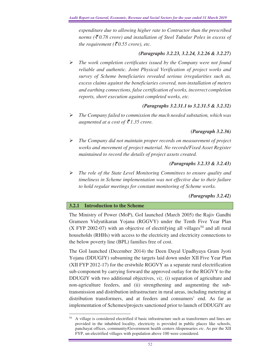*expenditure due to allowing higher rate to Contractor than the prescribed norms (*` *0.78 crore) and installation of Steel Tubular Poles in excess of the requirement* ( $\bar{\xi}$ 0.55 crore), etc.

## *(Paragraphs 3.2.23, 3.2.24, 3.2.26 & 3.2.27)*

 *The work completion certificates issued by the Company were not found reliable and authentic. Joint Physical Verification of project works and survey of Scheme beneficiaries revealed serious irregularities such as, excess claims against the beneficiaries covered, non-installation of meters and earthing connections, false certification of works, incorrect completion reports, short execution against completed works, etc.* 

## *(Paragraphs 3.2.31.1 to 3.2.31.5 & 3.2.32)*

 *The Company failed to commission the much needed substation, which was augmented at a cost of*  $\bar{\mathcal{F}}$ 1.35 crore.

## *(Paragraph 3.2.36)*

 *The Company did not maintain proper records on measurement of project works and movement of project material. No records/Fixed Asset Register maintained to record the details of project assets created.* 

## *(Paragraphs 3.2.33 & 3.2.43)*

 *The role of the State Level Monitoring Committees to ensure quality and timeliness in Scheme implementation was not effective due to their failure to hold regular meetings for constant monitoring of Scheme works.* 

## *(Paragraphs 3.2.42)*

## **3.2.1 Introduction to the Scheme**

The Ministry of Power (MoP), GoI launched (March 2005) the Rajiv Gandhi Grameen Vidyutikaran Yojana (RGGVY) under the Tenth Five Year Plan (X FYP 2002-07) with an objective of electrifying all villages<sup>54</sup> and all rural households (RHHs) with access to the electricity and electricity connections to the below poverty line (BPL) families free of cost.

The GoI launched (December 2014) the Deen Dayal Upadhyaya Gram Jyoti Yojana (DDUGJY) subsuming the targets laid down under XII Five Year Plan (XII FYP 2012-17) for the erstwhile RGGVY as a separate rural electrification sub-component by carrying forward the approved outlay for the RGGVY to the DDUGJY with two additional objectives, *viz*. (i) separation of agriculture and non-agriculture feeders, and (ii) strengthening and augmenting the subtransmission and distribution infrastructure in rural areas, including metering at distribution transformers, and at feeders and consumers' end. As far as implementation of Schemes/projects sanctioned prior to launch of DDUGJY are

 $\overline{a}$ <sup>54</sup> A village is considered electrified if basic infrastructure such as transformers and lines are provided in the inhabited locality, electricity is provided in public places like schools, panchayat offices, community/Government health centers /dispensaries *etc*. As per the XII FYP, un-electrified villages with population above 100 were considered.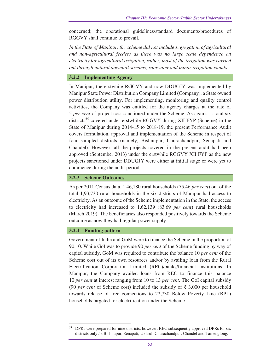concerned; the operational guidelines/standard documents/procedures of RGGVY shall continue to prevail.

*In the State of Manipur, the scheme did not include segregation of agricultural and non-agricultural feeders as there was no large scale dependence on electricity for agricultural irrigation, rather, most of the irrigation was carried out through natural downhill streams, rainwater and minor irrigation canals.*

#### **3.2.2 Implementing Agency**

In Manipur, the erstwhile RGGVY and now DDUGJY was implemented by Manipur State Power Distribution Company Limited (Company), a State owned power distribution utility. For implementing, monitoring and quality control activities, the Company was entitled for the agency charges at the rate of 5 *per cent* of project cost sanctioned under the Scheme. As against a total six districts<sup>55</sup> covered under erstwhile RGGVY during XII FYP (Scheme) in the State of Manipur during 2014-15 to 2018-19, the present Performance Audit covers formulation, approval and implementation of the Scheme in respect of four sampled districts (namely, Bishnupur, Churachandpur, Senapati and Chandel). However, all the projects covered in the present audit had been approved (September 2013) under the erstwhile RGGVY XII FYP as the new projects sanctioned under DDUGJY were either at initial stage or were yet to commence during the audit period.

#### **3.2.3 Scheme Outcomes**

As per 2011 Census data, 1,46,180 rural households (75.46 *per cent*) out of the total 1,93,730 rural households in the six districts of Manipur had access to electricity. As an outcome of the Scheme implementation in the State, the access to electricity had increased to 1,62,139 (83.69 *per cent*) rural households (March 2019). The beneficiaries also responded positively towards the Scheme outcome as now they had regular power supply.

#### **3.2.4 Funding pattern**

Government of India and GoM were to finance the Scheme in the proportion of 90:10. While GoI was to provide 90 *per cent* of the Scheme funding by way of capital subsidy, GoM was required to contribute the balance 10 *per cent* of the Scheme cost out of its own resources and/or by availing loan from the Rural Electrification Corporation Limited (REC)/banks/financial institutions. In Manipur, the Company availed loans from REC to finance this balance 10 *per cent* at interest ranging from 10 to 13 *per cent*. The GoI capital subsidy (90 *per cent* of Scheme cost) included the subsidy of  $\overline{5}$  3,000 per household towards release of free connections to 22,730 Below Poverty Line (BPL) households targeted for electrification under the Scheme.

 $\overline{a}$ <sup>55</sup> DPRs were prepared for nine districts, however, REC subsequently approved DPRs for six districts only *i.e.*Bishnupur, Senapati, Ukhrul, Churachandpur, Chandel and Tamenglong.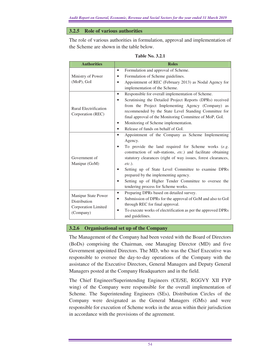#### **3.2.5 Role of various authorities**

The role of various authorities in formulation, approval and implementation of the Scheme are shown in the table below.

| Table No. 3.2.1 |  |
|-----------------|--|
|                 |  |

| <b>Authorities</b>           | <b>Roles</b>                                                            |
|------------------------------|-------------------------------------------------------------------------|
|                              | Formulation and approval of Scheme.<br>$\bullet$                        |
| Ministry of Power            | Formulation of Scheme guidelines.                                       |
| (MoP), GoI                   | Appointment of REC (February 2013) as Nodal Agency for                  |
|                              | implementation of the Scheme.                                           |
|                              | Responsible for overall implementation of Scheme.<br>$\bullet$          |
|                              | Scrutinising the Detailed Project Reports (DPRs) received               |
| <b>Rural Electrification</b> | from the Project Implementing Agency (Company) as                       |
| Corporation (REC)            | recommended by the State Level Standing Committee for                   |
|                              | final approval of the Monitoring Committee of MoP, GoI.                 |
|                              | Monitoring of Scheme implementation.                                    |
|                              | Release of funds on behalf of GoI.                                      |
|                              | Appointment of the Company as Scheme Implementing<br>$\bullet$          |
|                              | Agency.                                                                 |
|                              | To provide the land required for Scheme works $(e.g.,$                  |
|                              | construction of sub-stations, etc.) and facilitate obtaining            |
| Government of                | statutory clearances (right of way issues, forest clearances,           |
| Manipur (GoM)                | $etc.$ ).                                                               |
|                              | Setting up of State Level Committee to examine DPRs                     |
|                              | prepared by the implementing agency.                                    |
|                              | Setting up of Higher Tender Committee to oversee the                    |
|                              | tendering process for Scheme works.                                     |
| Manipur State Power          | Preparing DPRs based on detailed survey.<br>$\bullet$                   |
| Distribution                 | Submission of DPRs for the approval of GoM and also to GoI<br>$\bullet$ |
| Corporation Limited          | through REC for final approval.                                         |
| (Company)                    | To execute works of electrification as per the approved DPRs            |
|                              | and guidelines.                                                         |

#### **3.2.6 Organisational set up of the Company**

The Management of the Company had been vested with the Board of Directors (BoDs) comprising the Chairman, one Managing Director (MD) and five Government appointed Directors. The MD, who was the Chief Executive was responsible to oversee the day-to-day operations of the Company with the assistance of the Executive Directors, General Managers and Deputy General Managers posted at the Company Headquarters and in the field.

The Chief Engineer/Superintending Engineers (CE/SE, RGGVY XII FYP wing) of the Company were responsible for the overall implementation of Scheme. The Superintending Engineers (SEs), Distribution Circles of the Company were designated as the General Managers (GMs) and were responsible for execution of Scheme works in the areas within their jurisdiction in accordance with the provisions of the agreement.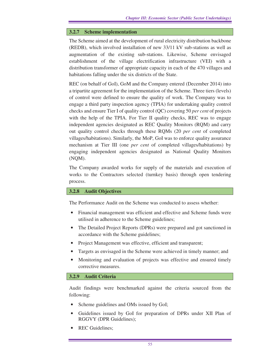## **3.2.7 Scheme implementation**

The Scheme aimed at the development of rural electricity distribution backbone (REDB), which involved installation of new 33/11 kV sub-stations as well as augmentation of the existing sub-stations. Likewise, Scheme envisaged establishment of the village electrification infrastructure (VEI) with a distribution transformer of appropriate capacity in each of the 470 villages and habitations falling under the six districts of the State.

REC (on behalf of GoI), GoM and the Company entered (December 2014) into a tripartite agreement for the implementation of the Scheme. Three tiers (levels) of control were defined to ensure the quality of work. The Company was to engage a third party inspection agency (TPIA) for undertaking quality control checks and ensure Tier I of quality control (QC) covering 50 *per cent* of projects with the help of the TPIA. For Tier II quality checks, REC was to engage independent agencies designated as REC Quality Monitors (RQM) and carry out quality control checks through these RQMs (20 *per cent* of completed villages/habitations). Similarly, the MoP, GoI was to enforce quality assurance mechanism at Tier III (one *per cent* of completed villages/habitations) by engaging independent agencies designated as National Quality Monitors (NQM).

The Company awarded works for supply of the materials and execution of works to the Contractors selected (turnkey basis) through open tendering process.

#### **3.2.8 Audit Objectives**

The Performance Audit on the Scheme was conducted to assess whether:

- Financial management was efficient and effective and Scheme funds were utilised in adherence to the Scheme guidelines;
- The Detailed Project Reports (DPRs) were prepared and got sanctioned in accordance with the Scheme guidelines;
- Project Management was effective, efficient and transparent;
- Targets as envisaged in the Scheme were achieved in timely manner; and
- Monitoring and evaluation of projects was effective and ensured timely corrective measures.

#### **3.2.9 Audit Criteria**

Audit findings were benchmarked against the criteria sourced from the following:

- Scheme guidelines and OMs issued by GoI;
- Guidelines issued by GoI for preparation of DPRs under XII Plan of RGGVY (DPR Guidelines);
- REC Guidelines;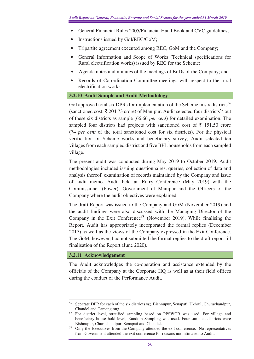- General Financial Rules 2005/Financial Hand Book and CVC guidelines;
- Instructions issued by GoI/REC/GoM;
- Tripartite agreement executed among REC, GoM and the Company;
- General Information and Scope of Works (Technical specifications for Rural electrification works) issued by REC for the Scheme;
- Agenda notes and minutes of the meetings of BoDs of the Company; and
- Records of Co-ordination Committee meetings with respect to the rural electrification works.

## **3.2.10 Audit Sample and Audit Methodology**

GoI approved total six DPRs for implementation of the Scheme in six districts<sup>56</sup> (sanctioned cost:  $\bar{\tau}$  204.73 crore) of Manipur. Audit selected four districts<sup>57</sup> out of these six districts as sample (66.66 *per cent*) for detailed examination. The sampled four districts had projects with sanctioned cost of  $\bar{\tau}$  151.50 crore (74 *per cent* of the total sanctioned cost for six districts). For the physical verification of Scheme works and beneficiary survey, Audit selected ten villages from each sampled district and five BPL households from each sampled village.

The present audit was conducted during May 2019 to October 2019. Audit methodologies included issuing questionnaires, queries, collection of data and analysis thereof, examination of records maintained by the Company and issue of audit memo. Audit held an Entry Conference (May 2019) with the Commissioner (Power), Government of Manipur and the Officers of the Company where the audit objectives were explained.

The draft Report was issued to the Company and GoM (November 2019) and the audit findings were also discussed with the Managing Director of the Company in the Exit Conference<sup>58</sup> (November 2019). While finalising the Report, Audit has appropriately incorporated the formal replies (December 2017) as well as the views of the Company expressed in the Exit Conference. The GoM, however, had not submitted the formal replies to the draft report till finalisation of the Report (June 2020).

## **3.2.11 Acknowledgement**

The Audit acknowledges the co-operation and assistance extended by the officials of the Company at the Corporate HQ as well as at their field offices during the conduct of the Performance Audit.

 $\overline{a}$ <sup>56</sup> Separate DPR for each of the six districts *viz*. Bishnupur, Senapati, Ukhrul, Churachandpur, Chandel and Tamenglong.

<sup>57</sup> For district level, stratified sampling based on PPSWOR was used. For village and beneficiary house hold level, Random Sampling was used. Four sampled districts were Bishnupur, Churachandpur, Senapati and Chandel.

<sup>58</sup> Only the Executives from the Company attended the exit conference. No representatives from Government attended the exit conference for reasons not intimated to Audit.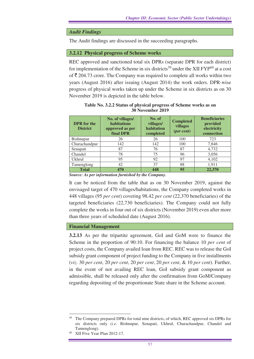## *Audit Findings*

The Audit findings are discussed in the succeeding paragraphs.

#### **3.2.12 Physical progress of Scheme works**

REC approved and sanctioned total six DPRs (separate DPR for each district) for implementation of the Scheme in six districts<sup>59</sup> under the XII  $FYP^{60}$  at a cost of  $\bar{\tau}$  204.73 crore. The Company was required to complete all works within two years (August 2016) after issuing (August 2014) the work orders. DPR-wise progress of physical works taken up under the Scheme in six districts as on 30 November 2019 is depicted in the table below.

| <b>DPR</b> for the<br><b>District</b> | No. of villages/<br>habitations<br>approved as per<br>final DPR | No. of<br>villages/<br>habitation<br>completed | <b>Completed</b><br>villages<br>(per cent) | <b>Beneficiaries</b><br>provided<br>electricity<br>connection |
|---------------------------------------|-----------------------------------------------------------------|------------------------------------------------|--------------------------------------------|---------------------------------------------------------------|
| Bishnupur                             | 26                                                              | 26                                             | 100                                        | 723                                                           |
| Churachandpur                         | 142                                                             | 142                                            | 100                                        | 7,846                                                         |
| Senapati                              | 87                                                              | 76                                             | 87                                         | 4,732                                                         |
| Chandel                               | 78                                                              | 75                                             | 96                                         | 3,056                                                         |
| <b>Ukhrul</b>                         | 95                                                              | 92                                             | 97                                         | 4,102                                                         |
| Tamenglong                            | 42                                                              | 37                                             | 88                                         | 1,911                                                         |
| <b>Total</b><br>$\sim$ $\sim$         | 470                                                             | 448                                            | 95                                         | 22,370                                                        |

**Table No. 3.2.2 Status of physical progress of Scheme works as on 30 November 2019** 

*Source: As per information furnished by the Company.* 

It can be noticed from the table that as on 30 November 2019, against the envisaged target of 470 villages/habitations, the Company completed works in 448 villages (95 *per cent*) covering 98.42 *per cent* (22,370 beneficiaries) of the targeted beneficiaries (22,730 beneficiaries). The Company could not fully complete the works in four out of six districts (November 2019) even after more than three years of scheduled date (August 2016).

#### **Financial Management**

**3.2.13** As per the tripartite agreement, GoI and GoM were to finance the Scheme in the proportion of 90:10. For financing the balance 10 *per cent* of project costs, the Company availed loan from REC. REC was to release the GoI subsidy grant component of project funding to the Company in five installments (*viz.* 30 *per cent*, 20 *per cent*, 20 *per cent*, 20 *per cent*, & 10 *per cent*). Further, in the event of not availing REC loan, GoI subsidy grant component as admissible, shall be released only after the confirmation from GoM/Company regarding depositing of the proportionate State share in the Scheme account.

<sup>59</sup> The Company prepared DPRs for total nine districts, of which, REC approved six DPRs for six districts only (*i.e*. Bishnupur, Senapati, Ukhrul, Churachandpur, Chandel and Tamenglong).

XII Five Year Plan 2012-17.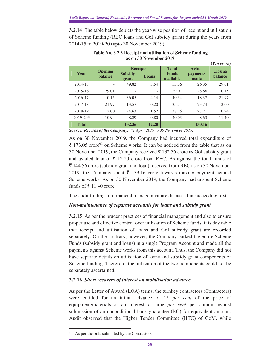**3.2.14** The table below depicts the year-wise position of receipt and utilisation of Scheme funding (REC loans and GoI subsidy grant) during the years from 2014-15 to 2019-20 (upto 30 November 2019).

|              |                                  |                         |                 |                           |                  | $\left($ <b>₹</b> in crore) |
|--------------|----------------------------------|-------------------------|-----------------|---------------------------|------------------|-----------------------------|
|              |                                  |                         | <b>Receipts</b> | <b>Total</b>              | <b>Actual</b>    | <b>Closing</b>              |
| Year         | <b>Opening</b><br><b>balance</b> | <b>Subsidy</b><br>grant | Loans           | <b>Funds</b><br>available | payments<br>made | <b>balance</b>              |
| 2014-15      |                                  | 49.82                   | 5.54            | 55.36                     | 26.35            | 29.01                       |
| 2015-16      | 29.01                            | ٠                       | -               | 29.01                     | 28.86            | 0.15                        |
| 2016-17      | 0.15                             | 36.05                   | 4.14            | 40.34                     | 18.37            | 21.97                       |
| 2017-18      | 21.97                            | 13.57                   | 0.20            | 35.74                     | 23.74            | 12.00                       |
| 2018-19      | 12.00                            | 24.63                   | 1.52            | 38.15                     | 27.21            | 10.94                       |
| $2019 - 20*$ | 10.94                            | 8.29                    | 0.80            | 20.03                     | 8.63             | 11.40                       |
| <b>Total</b> |                                  | 132.36                  | 12.20           |                           | 133.16           |                             |

**Table No. 3.2.3 Receipt and utilisation of Scheme funding as on 30 November 2019** 

*Source: Records of the Company. \*1 April 2019 to 30 November 2019.*

As on 30 November 2019, the Company had incurred total expenditure of  $\bar{\mathfrak{F}}$  173.05 crore<sup>61</sup> on Scheme works. It can be noticed from the table that as on 30 November 2019, the Company received  $\bar{\tau}$  132.36 crore as GoI subsidy grant and availed loan of  $\bar{\tau}$  12.20 crore from REC. As against the total funds of  $\bar{\xi}$  144.56 crore (subsidy grant and loan) received from REC as on 30 November 2019, the Company spent  $\bar{\tau}$  133.16 crore towards making payment against Scheme works. As on 30 November 2019, the Company had unspent Scheme funds of  $\bar{\bar{\xi}}$  11.40 crore.

The audit findings on financial management are discussed in succeeding text.

## *Non-maintenance of separate accounts for loans and subsidy grant*

**3.2.15** As per the prudent practices of financial management and also to ensure proper use and effective control over utilisation of Scheme funds, it is desirable that receipt and utilisation of loans and GoI subsidy grant are recorded separately. On the contrary, however, the Company parked the entire Scheme Funds (subsidy grant and loans) in a single Program Account and made all the payments against Scheme works from this account. Thus, the Company did not have separate details on utilisation of loans and subsidy grant components of Scheme funding. Therefore, the utilisation of the two components could not be separately ascertained.

## **3.2.16** *Short recovery of interest on mobilisation advance*

As per the Letter of Award (LOA) terms, the turnkey contractors (Contractors) were entitled for an initial advance of 15 *per cent* of the price of equipment/materials at an interest of nine *per cent* per annum against submission of an unconditional bank guarantee (BG) for equivalent amount. Audit observed that the Higher Tender Committee (HTC) of GoM, while

As per the bills submitted by the Contractors.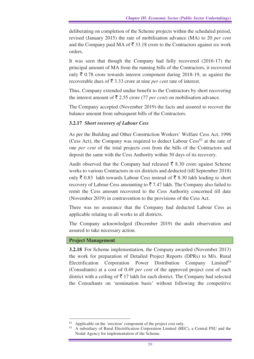deliberating on completion of the Scheme projects within the scheduled period, revised (January 2015) the rate of mobilisation advance (MA) to 20 *per cent*  and the Company paid MA of  $\bar{\xi}$  33.18 crore to the Contractors against six work orders.

It was seen that though the Company had fully recovered (2016-17) the principal amount of MA from the running bills of the Contractors, it recovered only  $\bar{\xi}$  0.78 crore towards interest component during 2018-19, as against the recoverable dues of  $\bar{\mathfrak{c}}$  3.33 crore at nine *per cent* rate of interest.

Thus, Company extended undue benefit to the Contractors by short recovering the interest amount of  $\bar{\tau}$  2.55 crore (77 *per cent*) on mobilisation advance.

The Company accepted (November 2019) the facts and assured to recover the balance amount from subsequent bills of the Contractors.

## **3.2.17** *Short recovery of Labour Cess*

As per the Building and Other Construction Workers' Welfare Cess Act, 1996 (Cess Act), the Company was required to deduct Labour  $Cess^{62}$  at the rate of one *per cent* of the total projects cost from the bills of the Contractors and deposit the same with the Cess Authority within 30 days of its recovery.

Audit observed that the Company had released  $\bar{\tau}$  8.30 crore against Scheme works to various Contractors in six districts and deducted (till September 2018) only  $\bar{\xi}$  0.83 lakh towards Labour Cess instead of  $\bar{\xi}$  8.30 lakh leading to short recovery of Labour Cess amounting to  $\overline{5}$  7.47 lakh. The Company also failed to remit the Cess amount recovered to the Cess Authority concerned till date (November 2019) in contravention to the provisions of the Cess Act.

There was no assurance that the Company had deducted Labour Cess as applicable relating to all works in all districts.

The Company acknowledged (December 2019) the audit observation and assured to take necessary action.

#### **Project Management**

 $\overline{a}$ 

**3.2.18** For Scheme implementation, the Company awarded (November 2013) the work for preparation of Detailed Project Reports (DPRs) to M/s. Rural Electrification Corporation Power Distribution Company Limited<sup>63</sup> (Consultants) at a cost of 0.49 *per cent* of the approved project cost of each district with a ceiling of  $\bar{\tau}$  17 lakh for each district. The Company had selected the Consultants on 'nomination basis' without following the competitive

Applicable on the 'erection' component of the project cost only.

<sup>63</sup> A subsidiary of Rural Electrification Corporation Limited (REC), a Central PSU and the Nodal Agency for implementation of the Scheme.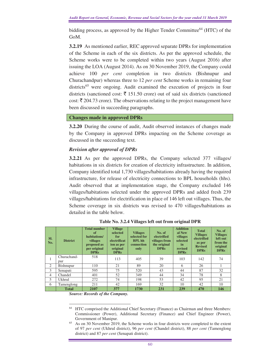bidding process, as approved by the Higher Tender Committee<sup>64</sup> (HTC) of the GoM.

**3.2.19** As mentioned earlier, REC approved separate DPRs for implementation of the Scheme in each of the six districts. As per the approved schedule, the Scheme works were to be completed within two years (August 2016) after issuing the LOA (August 2014). As on 30 November 2019, the Company could achieve 100 *per cent* completion in two districts (Bishnupur and Churachandpur) whereas three to 12 *per cent* Scheme works in remaining four districts<sup>65</sup> were ongoing. Audit examined the execution of projects in four districts (sanctioned cost:  $\bar{\tau}$  151.50 crore) out of said six districts (sanctioned cost:  $\bar{\zeta}$  204.73 crore). The observations relating to the project management have been discussed in succeeding paragraphs.

#### **Changes made in approved DPRs**

**3.2.20** During the course of audit, Audit observed instances of changes made by the Company in approved DPRs impacting on the Scheme coverage as discussed in the succeeding text.

## *Revision after approval of DPRs*

**3.2.21** As per the approved DPRs, the Company selected 377 villages/ habitations in six districts for creation of electricity infrastructure. In addition, Company identified total 1,730 villages/habitations already having the required infrastructure, for release of electricity connections to BPL households (hhs). Audit observed that at implementation stage, the Company excluded 146 villages/habitations selected under the approved DPRs and added fresh 239 villages/habitations for electrification in place of 146 left out villages. Thus, the Scheme coverage in six districts was revised to 470 villages/habitations as detailed in the table below.

| SI.<br>No.     | <b>District</b>    | <b>Total number</b><br>of<br>habitations/<br>villages<br>proposed as<br>per original<br><b>DPRs</b> | <b>Village</b><br>selected<br>for<br>electrificat<br>ion as per<br>original<br><b>DPRs</b> | <b>Villages</b><br>selected for<br><b>BPL</b> hh<br>connection<br>only | No. of<br>electrified<br>villages from<br>the original<br><b>DPRs</b> | <b>Addition</b><br>al New<br>villages<br>selected<br>in<br>revised<br><b>DPRs</b> | <b>Total</b><br><b>Villages</b><br>electrified<br>as per<br><b>Revised</b><br><b>DPRs</b> | No. of<br><b>Villages</b><br>left out<br>from the<br>original<br><b>DPRs</b> |
|----------------|--------------------|-----------------------------------------------------------------------------------------------------|--------------------------------------------------------------------------------------------|------------------------------------------------------------------------|-----------------------------------------------------------------------|-----------------------------------------------------------------------------------|-------------------------------------------------------------------------------------------|------------------------------------------------------------------------------|
| ı              | Churachand-<br>pur | 518                                                                                                 | 113                                                                                        | 405                                                                    | 39                                                                    | 103                                                                               | 142                                                                                       | 74                                                                           |
| 2              | Bishnupur          | 110                                                                                                 | 21                                                                                         | 89                                                                     | 20                                                                    | 6                                                                                 | 26                                                                                        |                                                                              |
| 3              | Senapati           | 595                                                                                                 | 75                                                                                         | 520                                                                    | 43                                                                    | 44                                                                                | 87                                                                                        | 32                                                                           |
| $\overline{4}$ | Chandel            | 401                                                                                                 | 52                                                                                         | 349                                                                    | 44                                                                    | 34                                                                                | 78                                                                                        | 8                                                                            |
| 5              | Ukhrul             | 272                                                                                                 | 74                                                                                         | 198                                                                    | 53                                                                    | 42                                                                                | 95                                                                                        | 21                                                                           |
| 6              | Tamenglong         | 211                                                                                                 | 42                                                                                         | 169                                                                    | 32                                                                    | 10                                                                                | 42                                                                                        | 10                                                                           |
|                | <b>Total</b>       | 2107                                                                                                | 377                                                                                        | 1730                                                                   | 231                                                                   | 239                                                                               | 470                                                                                       | 146                                                                          |

**Table No. 3.2.4 Villages left out from original DPR**

*Source: Records of the Company.*

 $\overline{a}$ <sup>64</sup> HTC comprised the Additional Chief Secretary (Finance) as Chairman and three Members: Commissioner (Power), Additional Secretary (Finance) and Chief Engineer (Power), Government of Manipur.

<sup>65</sup> As on 30 November 2019, the Scheme works in four districts were completed to the extent of 97 *per cent* (Ukhrul district), 96 *per cent* (Chandel district), 88 *per cent* (Tamenglong district) and 87 *per cent* (Senapati district).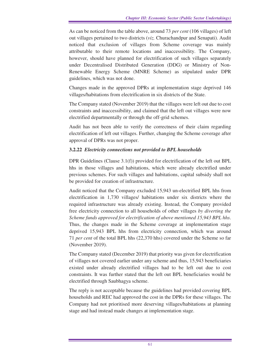As can be noticed from the table above, around 73 *per cent* (106 villages) of left out villages pertained to two districts (*viz.* Churachandpur and Senapati). Audit noticed that exclusion of villages from Scheme coverage was mainly attributable to their remote locations and inaccessibility. The Company, however, should have planned for electrification of such villages separately under Decentralised Distributed Generation (DDG) or Ministry of Non-Renewable Energy Scheme (MNRE Scheme) as stipulated under DPR guidelines, which was not done.

Changes made in the approved DPRs at implementation stage deprived 146 villages/habitations from electrification in six districts of the State.

The Company stated (November 2019) that the villages were left out due to cost constraints and inaccessibility, and claimed that the left out villages were now electrified departmentally or through the off-grid schemes.

Audit has not been able to verify the correctness of their claim regarding electrification of left out villages. Further, changing the Scheme coverage after approval of DPRs was not proper.

## **3.2.22** *Electricity connections not provided to BPL households*

DPR Guidelines (Clause 3.1(f)) provided for electrification of the left out BPL hhs in those villages and habitations, which were already electrified under previous schemes. For such villages and habitations, capital subsidy shall not be provided for creation of infrastructure.

Audit noticed that the Company excluded 15,943 un-electrified BPL hhs from electrification in 1,730 villages/ habitations under six districts where the required infrastructure was already existing. Instead, the Company provided free electricity connection to all households of other villages *by diverting the Scheme funds approved for electrification of above mentioned 15,943 BPL hhs*. Thus, the changes made in the Scheme coverage at implementation stage deprived 15,943 BPL hhs from electricity connection, which was around 71 *per cent* of the total BPL hhs (22,370 hhs) covered under the Scheme so far (November 2019).

The Company stated (December 2019) that priority was given for electrification of villages not covered earlier under any scheme and thus, 15,943 beneficiaries existed under already electrified villages had to be left out due to cost constraints. It was further stated that the left out BPL beneficiaries would be electrified through Saubhagya scheme.

The reply is not acceptable because the guidelines had provided covering BPL households and REC had approved the cost in the DPRs for these villages. The Company had not prioritised more deserving villages/habitations at planning stage and had instead made changes at implementation stage.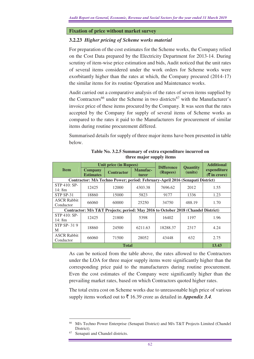#### **Fixation of price without market survey**

#### **3.2.23** *Higher pricing of Scheme works material*

For preparation of the cost estimates for the Scheme works, the Company relied on the Cost Data prepared by the Electricity Department for 2013-14. During scrutiny of item-wise price estimation and bids, Audit noticed that the unit rates of several items considered under the work orders for Scheme works were exorbitantly higher than the rates at which, the Company procured (2014-17) the similar items for its routine Operation and Maintenance works.

Audit carried out a comparative analysis of the rates of seven items supplied by the Contractors<sup>66</sup> under the Scheme in two districts<sup>67</sup> with the Manufacturer's invoice price of these items procured by the Company. It was seen that the rates accepted by the Company for supply of several items of Scheme works as compared to the rates it paid to the Manufacturers for procurement of similar items during routine procurement differed.

Summarised details for supply of three major items have been presented in table below.

|                                 | <b>Unit price (in Rupees)</b>      |                                                                                   |                          | <b>Difference</b> | <b>Quantity</b> | <b>Additional</b>                                            |
|---------------------------------|------------------------------------|-----------------------------------------------------------------------------------|--------------------------|-------------------|-----------------|--------------------------------------------------------------|
| <b>Item</b>                     | <b>Company</b><br><b>Estimates</b> | <b>Contractor</b>                                                                 | <b>Manufac-</b><br>turer | (Rupees)          | (units)         | expenditure<br>$(\overline{\mathbf{\overline{z}}}$ in crore) |
|                                 |                                    | Contractor: M/s Techno Power; period: February-April 2016 (Senapati District)     |                          |                   |                 |                                                              |
| STP 410: SP-<br>14:8m           | 12425                              | 12000                                                                             | 4303.38                  | 7696.62           | 2012            | 1.55                                                         |
| STP SP-31                       | 18860                              | 15000                                                                             | 5823                     | 9177              | 1336            | 1.23                                                         |
| <b>ASCR Rabbit</b><br>Conductor | 66060                              | 60000                                                                             | 25250                    | 34750             | 488.19          | 1.70                                                         |
|                                 |                                    | Contractor: M/s T&T Projects; period: May 2016 to October 2018 (Chandel District) |                          |                   |                 |                                                              |
| STP 410: SP-<br>14:8m           | 12425                              | 21800                                                                             | 5398                     | 16402             | 1197            | 1.96                                                         |
| STP SP-319<br>M                 | 18860                              | 24500                                                                             | 6211.63                  | 18288.37          | 2317            | 4.24                                                         |
| <b>ASCR Rabbit</b><br>Conductor | 66060                              | 71500                                                                             | 28052                    | 43448             | 632             | 2.75                                                         |
|                                 | 13.43                              |                                                                                   |                          |                   |                 |                                                              |

**Table No. 3.2.5 Summary of extra expenditure incurred on three major supply items** 

As can be noticed from the table above, the rates allowed to the Contractors under the LOA for three major supply items were significantly higher than the corresponding price paid to the manufacturers during routine procurement. Even the cost estimates of the Company were significantly higher than the prevailing market rates, based on which Contractors quoted higher rates.

The total extra cost on Scheme works due to unreasonable high price of various supply items worked out to  $\bar{\tau}$  16.39 crore as detailed in *Appendix 3.4.* 

 $\overline{a}$ <sup>66</sup> M/s Techno Power Enterprise (Senapati District) and M/s T&T Projects Limited (Chandel District).

Senapati and Chandel districts.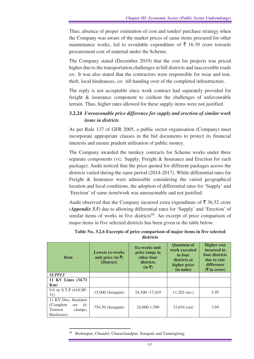Thus, absence of proper estimation of cost and tender/ purchase strategy when the Company was aware of the market prices of same items procured for other maintenance works, led to avoidable expenditure of  $\bar{\tau}$  16.39 crore towards procurement cost of material under the Scheme.

The Company stated (December 2019) that the cost for projects was priced higher due to the transportation challenges in hill districts and inaccessible roads *etc*. It was also stated that the contractors were responsible for wear and tear, theft, local hindrances, *etc*. till handing over of the completed infrastructure.

The reply is not acceptable since work contract had separately provided for freight & insurance component to cushion the challenges of unfavourable terrain. Thus, higher rates allowed for these supply items were not justified.

## **3.2.24** *Unreasonable price difference for supply and erection of similar work items in districts*

As per Rule 137 of GFR 2005, a public sector organisation (Company) must incorporate appropriate clauses in the bid documents to protect its financial interests and ensure prudent utilisation of public money.

The Company awarded the turnkey contracts for Scheme works under three separate components (*viz.* Supply, Freight & Insurance and Erection for each package). Audit noticed that the price quoted for different packages across the districts varied during the same period (2014-2017). While differential rates for Freight & Insurance were admissible considering the varied geographical location and local conditions, the adoption of differential rates for 'Supply' and 'Erection' of same item/work was unreasonable and not justified.

Audit observed that the Company incurred extra expenditure of  $\bar{\bar{\xi}}$  36.52 crore (*Appendix 3.5*) due to allowing differential rates for 'Supply' and 'Erection' of similar items of works in five districts<sup>68</sup>. An excerpt of price comparison of major items in five selected districts has been given in the table below.

| <b>Item</b>                                                                          | <b>Lowest ex-works</b><br>unit price (in $\bar{\mathbf{z}}$ )<br>(District) | <b>Ex-works unit</b><br>price range in<br>other four<br>districts<br>$(in \bar{\mathbf{\mathcal{R}}})$ | <b>Ouantum of</b><br>work executed<br>in four<br>districts at<br>higher price<br>(in units) | <b>Higher cost</b><br>incurred in<br>four districts<br><b>due to rate</b><br>difference<br>$(3\overline{5})$ in crore) |
|--------------------------------------------------------------------------------------|-----------------------------------------------------------------------------|--------------------------------------------------------------------------------------------------------|---------------------------------------------------------------------------------------------|------------------------------------------------------------------------------------------------------------------------|
| <b>SUPPLY</b>                                                                        |                                                                             |                                                                                                        |                                                                                             |                                                                                                                        |
| 11 KV Lines (34.71)                                                                  |                                                                             |                                                                                                        |                                                                                             |                                                                                                                        |
| $Km$ )                                                                               |                                                                             |                                                                                                        |                                                                                             |                                                                                                                        |
| 9.0 m S.T.P.(410:SP-<br>31)                                                          | $15,000$ (Senapati)                                                         | 24,500 - 17,010                                                                                        | $11,203$ (no.)                                                                              | 5.95                                                                                                                   |
| 11 KV Disc. Insulator<br>set $i/c$<br>(Complete)<br>Tension<br>clamps,<br>Hardware). | $754.50$ (Senapati)                                                         | 24,000-1,590                                                                                           | $33,654$ (set)                                                                              | 3.69                                                                                                                   |

**Table No. 3.2.6 Excerpts of price comparison of major items in five selected districts** 

Bishnupur, Chandel, Churachandpur, Senapati and Tamenglong.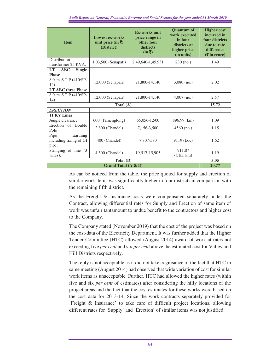| <b>Item</b>                                         | <b>Lowest ex-works</b><br>unit price (in ₹)<br>(District) | <b>Ex-works unit</b><br>price range in<br>other four<br>districts<br>$(in \bar{\bar{z}})$ | <b>Quantum of</b><br>work executed<br>in four<br>districts at<br>higher price<br>(in units) | <b>Higher cost</b><br>incurred in<br>four districts<br>due to rate<br>difference<br>$($ ₹ in crore) |
|-----------------------------------------------------|-----------------------------------------------------------|-------------------------------------------------------------------------------------------|---------------------------------------------------------------------------------------------|-----------------------------------------------------------------------------------------------------|
| <b>Distribution</b><br>transformer 25 KVA.          | 1,03,500 (Senapati)                                       | 2,49,640-1,45,931                                                                         | $230$ (no.)                                                                                 | 1.49                                                                                                |
| LT<br><b>ABC</b><br><b>Single</b><br><b>Phase</b>   |                                                           |                                                                                           |                                                                                             |                                                                                                     |
| 8.0 m S.T.P.(410:SP-<br>14)                         | $12,000$ (Senapati)                                       | 21,800-14,140                                                                             | $3,080$ (no.)                                                                               | 2.02                                                                                                |
| <b>LT ABC three Phase</b>                           |                                                           |                                                                                           |                                                                                             |                                                                                                     |
| 8.0 m S.T.P.(410:SP-<br>14)                         | $12,000$ (Senapati)                                       | 21,800-14,140                                                                             | $4,007$ (no.)                                                                               | 2.57                                                                                                |
|                                                     | Total (A)                                                 |                                                                                           |                                                                                             | 15.72                                                                                               |
| <b>ERECTION</b>                                     |                                                           |                                                                                           |                                                                                             |                                                                                                     |
| <b>11 KV Lines</b>                                  |                                                           |                                                                                           |                                                                                             |                                                                                                     |
| Jungle clearance                                    | 600 (Tamenglong)                                          | 65,056-1,500                                                                              | 896.99 (km)                                                                                 | 1.09                                                                                                |
| Erection of Double<br>Pole                          | 2,800 (Chandel)                                           | 7,156-3,500                                                                               | $4560$ (no.)                                                                                | 1.15                                                                                                |
| Earthing<br>Pipe<br>including fixing of GI<br>pipe. | 400 (Chandel)                                             | 7,807-580                                                                                 | $9119$ (Loc)                                                                                | 1.62                                                                                                |
| Stringing of line (3)<br>wires).                    | 4,500 (Chandel)                                           | 19,517-15,905                                                                             | 911.87<br>(CKT km)                                                                          | 1.19                                                                                                |
|                                                     | Total (B)                                                 |                                                                                           |                                                                                             | 5.05                                                                                                |
|                                                     | Grand Total (A & B)                                       |                                                                                           |                                                                                             | 20.77                                                                                               |

As can be noticed from the table, the price quoted for supply and erection of similar work items was significantly higher in four districts in comparison with the remaining fifth district.

As the Freight & Insurance costs were compensated separately under the Contract, allowing differential rates for Supply and Erection of same item of work was unfair tantamount to undue benefit to the contractors and higher cost to the Company.

The Company stated (November 2019) that the cost of the project was based on the cost-data of the Electricity Department. It was further added that the Higher Tender Committee (HTC) allowed (August 2014) award of work at rates not exceeding five *per cent* and six *per cent* above the estimated cost for Valley and Hill Districts respectively.

The reply is not acceptable as it did not take cognisance of the fact that HTC in same meeting (August 2014) had observed that wide variation of cost for similar work items as unacceptable*.* Further, HTC had allowed the higher rates (within five and six *per cent* of estimates) after considering the hilly locations of the project areas and the fact that the cost estimates for these works were based on the cost data for 2013-14. Since the work contracts separately provided for 'Freight & Insurance' to take care of difficult project locations, allowing different rates for 'Supply' and 'Erection' of similar items was not justified.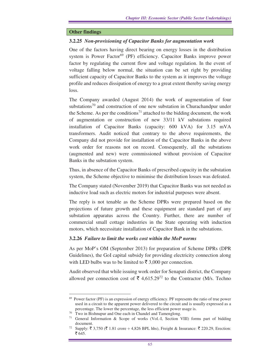## **Other findings**

#### **3.2.25** *Non-provisioning of Capacitor Banks for augmentation work*

One of the factors having direct bearing on energy losses in the distribution system is Power Factor<sup>69</sup> (PF) efficiency. Capacitor Banks improve power factor by regulating the current flow and voltage regulation. In the event of voltage falling below normal, the situation can be set right by providing sufficient capacity of Capacitor Banks to the system as it improves the voltage profile and reduces dissipation of energy to a great extent thereby saving energy loss.

The Company awarded (August 2014) the work of augmentation of four substations<sup>70</sup> and construction of one new substation in Churachandpur under the Scheme. As per the conditions<sup>71</sup> attached to the bidding document, the work of augmentation or construction of new 33/11 kV substations required installation of Capacitor Banks (capacity: 600 kVA) for 3.15 mVA transformers. Audit noticed that contrary to the above requirements, the Company did not provide for installation of the Capacitor Banks in the above work order for reasons not on record. Consequently, all the substations (augmented and new) were commissioned without provision of Capacitor Banks in the substation system.

Thus, in absence of the Capacitor Banks of prescribed capacity in the substation system, the Scheme objective to minimise the distribution losses was defeated.

The Company stated (November 2019) that Capacitor Banks was not needed as inductive load such as electric motors for industrial purposes were absent.

The reply is not tenable as the Scheme DPRs were prepared based on the projections of future growth and these equipment are standard part of any substation apparatus across the Country. Further, there are number of commercial small cottage industries in the State operating with induction motors, which necessitate installation of Capacitor Bank in the substations.

#### **3.2.26** *Failure to limit the works cost within the MoP norms*

As per MoP's OM (September 2013) for preparation of Scheme DPRs (DPR Guidelines), the GoI capital subsidy for providing electricity connection along with LED bulbs was to be limited to  $\bar{\mathfrak{g}}$  3,000 per connection.

Audit observed that while issuing work order for Senapati district, the Company allowed per connection cost of  $\bar{\tau}$  4,615.29<sup>72</sup> to the Contractor (M/s. Techno

<sup>69</sup> Power factor (PF) is an expression of energy efficiency. PF represents the ratio of true power used in a circuit to the apparent power delivered to the circuit and is usually expressed as a percentage. The lower the percentage, the less efficient power usage is.

<sup>&</sup>lt;sup>70</sup> Two in Bishnupur and One each in Chandel and Tamenglong.

<sup>71</sup> General Information & Scope of works (Vol.-I, Section VIII) forms part of bidding document.

<sup>&</sup>lt;sup>72</sup> Supply:  $\bar{\zeta}$  3,750 ( $\bar{\zeta}$  1.81 crore  $\div$  4,826 BPL hhs), Freight & Insurance:  $\bar{\zeta}$  220.29, Erection: ₹ 645.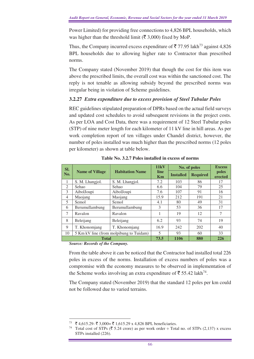Power Limited) for providing free connections to 4,826 BPL households, which was higher than the threshold limit ( $\bar{\mathfrak{F}}$  3,000) fixed by MoP.

Thus, the Company incurred excess expenditure of  $\overline{5}$  77.95 lakh<sup>73</sup> against 4,826 BPL households due to allowing higher rate to Contractor than prescribed norms.

The Company stated (November 2019) that though the cost for this item was above the prescribed limits, the overall cost was within the sanctioned cost. The reply is not tenable as allowing subsidy beyond the prescribed norms was irregular being in violation of Scheme guidelines.

## **3.2.27** *Extra expenditure due to excess provision of Steel Tubular Poles*

REC guidelines stipulated preparation of DPRs based on the actual field surveys and updated cost schedules to avoid subsequent revisions in the project costs. As per LOA and Cost Data, there was a requirement of 12 Steel Tubular poles (STP) of nine meter length for each kilometer of 11 kV line in hill areas. As per work completion report of ten villages under Chandel district, however, the number of poles installed was much higher than the prescribed norms (12 poles per kilometer) as shown at table below.

| SI.          |                                         |                        | 11kV                     | No. of poles     |                 | <b>Excess</b>    |
|--------------|-----------------------------------------|------------------------|--------------------------|------------------|-----------------|------------------|
| No.          | <b>Name of Village</b>                  | <b>Habitation Name</b> | line<br>Km               | <b>Installed</b> | <b>Required</b> | poles<br>erected |
| 1            | S. M. Lhangjol.                         | S. M. Lhangjol.        | 7.2                      | 103              | 86              | 17               |
| 2            | Sehao                                   | Sehao                  | 6.6                      | 104              | 79              | 25               |
| 3            | AibolJoupi                              | AibolJoupi             | 7.6                      | 107              | 91              | 16               |
| 4            | Maojang                                 | Maojang                | 15.9                     | 212              | 191             | 21               |
| 5            | Semol                                   | Semol                  | 4.1                      | 80               | 49              | 31               |
| 6            | Berumullambung                          | Berumullambung         | 3                        | 53               | 36              | 17               |
| 7            | Ravalon                                 | Ravalon                |                          | 19               | 12              | 7                |
| 8            | Beleijang                               | Beleijang              | 6.2                      | 93               | 74              | 19               |
| 9            | T. Khonomjang                           | T. Khonomjang          | 16.9                     | 242              | 202             | 40               |
| 10           | 5 Km kV line (from molpibung to Tuidam) |                        | $\overline{\mathcal{L}}$ | 93               | 60              | 33               |
| <b>Total</b> |                                         |                        | 73.5                     | 1106             | 880             | 226              |

**Table No. 3.2.7 Poles installed in excess of norms**

*Source: Records of the Company.*

From the table above it can be noticed that the Contractor had installed total 226 poles in excess of the norms. Installation of excess numbers of poles was a compromise with the economy measures to be observed in implementation of the Scheme works involving an extra expenditure of  $\bar{\epsilon}$  55.42 lakh<sup>74</sup>.

The Company stated (November 2019) that the standard 12 poles per km could not be followed due to varied terrains.

 $\overline{a}$  $73 \quad \xi$  4,615.29-  $\xi$  3,000=  $\xi$  1,615.29 x 4,826 BPL beneficiaries.

<sup>&</sup>lt;sup>74</sup> Total cost of STPs ( $\overline{\xi}$  5.24 crore) as per work order ÷ Total no. of STPs (2,137) x excess STPs installed (226).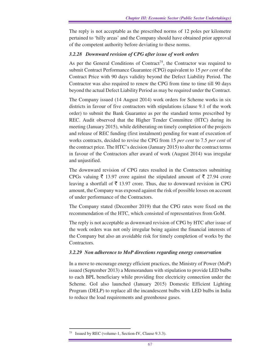The reply is not acceptable as the prescribed norms of 12 poles per kilometre pertained to 'hilly areas' and the Company should have obtained prior approval of the competent authority before deviating to these norms.

## *3.2.28 Downward revision of CPG after issue of work orders*

As per the General Conditions of Contract<sup>75</sup>, the Contractor was required to submit Contract Performance Guarantee (CPG) equivalent to 15 *per cent* of the Contract Price with 90 days validity beyond the Defect Liability Period. The Contractor was also required to renew the CPG from time to time till 90 days beyond the actual Defect Liability Period as may be required under the Contract.

The Company issued (14 August 2014) work orders for Scheme works in six districts in favour of five contractors with stipulations (clause 9.1 of the work order) to submit the Bank Guarantee as per the standard terms prescribed by REC. Audit observed that the Higher Tender Committee (HTC) during its meeting (January 2015), while deliberating on timely completion of the projects and release of REC funding (first instalment) pending for want of execution of works contracts, decided to revise the CPG from 15 *per cent* to 7.5 *per cent* of the contract price. The HTC's decision (January 2015) to alter the contract terms in favour of the Contractors after award of work (August 2014) was irregular and unjustified.

The downward revision of CPG rates resulted in the Contractors submitting CPGs valuing  $\bar{\tau}$  13.97 crore against the stipulated amount of  $\bar{\tau}$  27.94 crore leaving a shortfall of  $\bar{\bar{\xi}}$  13.97 crore. Thus, due to downward revision in CPG amount, the Company was exposed against the risk of possible losses on account of under performance of the Contractors.

The Company stated (December 2019) that the CPG rates were fixed on the recommendation of the HTC, which consisted of representatives from GoM.

The reply is not acceptable as downward revision of CPG by HTC after issue of the work orders was not only irregular being against the financial interests of the Company but also an avoidable risk for timely completion of works by the Contractors.

## *3.2.29 Non adherence to MoP directions regarding energy conservation*

In a move to encourage energy efficient practices, the Ministry of Power (MoP) issued (September 2013) a Memorandum with stipulation to provide LED bulbs to each BPL beneficiary while providing free electricity connection under the Scheme. GoI also launched (January 2015) Domestic Efficient Lighting Program (DELP) to replace all the incandescent bulbs with LED bulbs in India to reduce the load requirements and greenhouse gases.

Issued by REC (volume-1, Section-IV, Clause 9.3.3).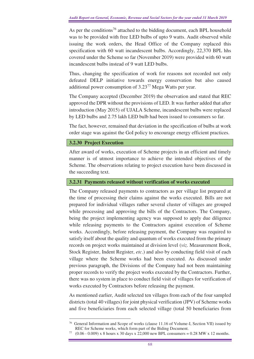As per the conditions<sup>76</sup> attached to the bidding document, each BPL household was to be provided with free LED bulbs of upto 9 watts. Audit observed while issuing the work orders, the Head Office of the Company replaced this specification with 60 watt incandescent bulbs. Accordingly, 22,370 BPL hhs covered under the Scheme so far (November 2019) were provided with 60 watt incandescent bulbs instead of 9 watt LED bulbs.

Thus, changing the specification of work for reasons not recorded not only defeated DELP initiative towards energy conservation but also caused additional power consumption of 3.23<sup>77</sup> Mega Watts per year.

The Company accepted (December 2019) the observation and stated that REC approved the DPR without the provisions of LED. It was further added that after introduction (May 2015) of UJALA Scheme, incandescent bulbs were replaced by LED bulbs and 2.75 lakh LED bulb had been issued to consumers so far.

The fact, however, remained that deviation in the specification of bulbs at work order stage was against the GoI policy to encourage energy efficient practices.

## **3.2.30 Project Execution**

 $\overline{a}$ 

After award of works, execution of Scheme projects in an efficient and timely manner is of utmost importance to achieve the intended objectives of the Scheme. The observations relating to project execution have been discussed in the succeeding text.

## **3.2.31 Payments released without verification of works executed**

The Company released payments to contractors as per village list prepared at the time of processing their claims against the works executed. Bills are not prepared for individual villages rather several cluster of villages are grouped while processing and approving the bills of the Contractors. The Company, being the project implementing agency was supposed to apply due diligence while releasing payments to the Contractors against execution of Scheme works. Accordingly, before releasing payment, the Company was required to satisfy itself about the quality and quantum of works executed from the primary records on project works maintained at division level (*viz.* Measurement Book, Stock Register, Indent Register, *etc*.) and also by conducting field visit of each village where the Scheme works had been executed. As discussed under previous paragraph, the Divisions of the Company had not been maintaining proper records to verify the project works executed by the Contractors. Further, there was no system in place to conduct field visit of villages for verification of works executed by Contractors before releasing the payment.

As mentioned earlier, Audit selected ten villages from each of the four sampled districts (total 40 villages) for joint physical verification (JPV) of Scheme works and five beneficiaries from each selected village (total 50 beneficiaries from

<sup>76</sup> General Information and Scope of works (clause 11.16 of Volume-I, Section VII) issued by REC for Scheme works, which form part of the Biding Document.

<sup>77</sup> (0.06 - 0.009) x 8 hours x 30 days x 22,000 new BPL consumers = 0.28 MW x 12 months.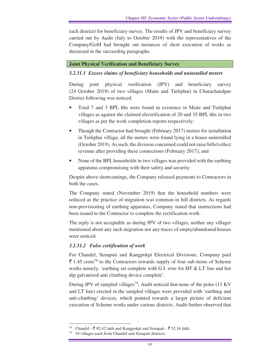each district) for beneficiary survey. The results of JPV and beneficiary survey carried out by Audit (July to October 2019) with the representatives of the Company/GoM had brought out instances of short execution of works as discussed in the succeeding paragraphs.

## **Joint Physical Verification and Beneficiary Survey**

## *3.2.31.1**Excess claims of beneficiary households and uninstalled meters*

During joint physical verification (JPV) and beneficiary survey (24 October 2019) of two villages (Maite and Tuiliphai) in Churachandpur District following was noticed.

- Total 7 and 3 BPL hhs were found in existence in Maite and Tuiliphai villages as against the claimed electrification of 20 and 35 BPL hhs in two villages as per the work completion reports respectively;
- Though the Contractor had brought (February 2017) meters for installation in Tuiliphai village, all the meters were found lying in a house uninstalled (October 2019). As such, the division concerned could not raise bills/collect revenue after providing these connections (February 2017); and
- None of the BPL households in two villages was provided with the earthing apparatus compromising with their safety and security.

Despite above shortcomings, the Company released payments to Contractors in both the cases.

The Company stated (November 2019) that the household numbers were reduced as the practice of migration was common in hill districts. As regards non-provisioning of earthing apparatus, Company stated that instructions had been issued to the Contractor to complete the rectification work.

The reply is not acceptable as during JPV of two villages, neither any villager mentioned about any such migration nor any traces of empty/abandoned houses were noticed.

## *3.2.31.2 False certification of work*

For Chandel, Senapati and Kangpokpi Electrical Divisions, Company paid  $\bar{\xi}$  1.45 crore<sup>78</sup> to the Contractors towards supply of four sub-items of Scheme works namely, 'earthing set complete with G.I. wire for HT & LT line and hot dip galvanised anti climbing device complete'.

During JPV of sampled villages<sup>79</sup>, Audit noticed that none of the poles (11 KV) and LT line) erected in the sampled villages were provided with 'earthing and anti-climbing' devices, which pointed towards a larger picture of deficient execution of Scheme works under various districts. Audit further observed that

Chandel -  $\bar{\mathfrak{g}}$  92.42 lakh and Kangpokpi and Senapati -  $\bar{\mathfrak{g}}$  52.16 lakh.

<sup>10</sup> villages each from Chandel and Senapati districts.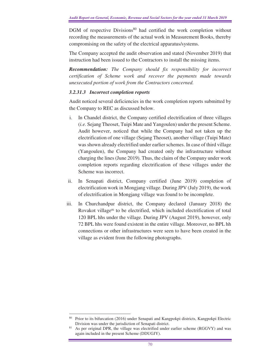$DGM$  of respective Divisions<sup>80</sup> had certified the work completion without recording the measurements of the actual work in Measurement Books, thereby compromising on the safety of the electrical apparatus/systems.

The Company accepted the audit observation and stated (November 2019) that instruction had been issued to the Contractors to install the missing items.

*Recommendation: The Company should fix responsibility for incorrect certification of Scheme work and recover the payments made towards unexecuted portion of work from the Contractors concerned.* 

## *3.2.31.3 Incorrect completion reports*

Audit noticed several deficiencies in the work completion reports submitted by the Company to REC as discussed below.

- i. In Chandel district, the Company certified electrification of three villages (*i.e.* Sejang Theoset, Tuipi Mate and Yangoulen) under the present Scheme. Audit however, noticed that while the Company had not taken up the electrification of one village (Sejang Theoset), another village (Tuipi Mate) was shown already electrified under earlier schemes. In case of third village (Yangoulen), the Company had created only the infrastructure without charging the lines (June 2019). Thus, the claim of the Company under work completion reports regarding electrification of these villages under the Scheme was incorrect.
- ii. In Senapati district, Company certified (June 2019) completion of electrification work in Mongjang village. During JPV (July 2019), the work of electrification in Mongjang village was found to be incomplete.
- iii. In Churchandpur district, the Company declared (January 2018) the Rovakot village<sup>81</sup> to be electrified, which included electrification of total 120 BPL hhs under the village. During JPV (August 2019), however, only 72 BPL hhs were found existent in the entire village. Moreover, no BPL hh connections or other infrastructures were seen to have been created in the village as evident from the following photographs.

 $\overline{a}$ <sup>80</sup> Prior to its bifurcation (2016) under Senapati and Kangpokpi districts, Kangpokpi Electric Division was under the jurisdiction of Senapati district.

As per original DPR, the village was electrified under earlier scheme (RGGVY) and was again included in the present Scheme (DDUGJY).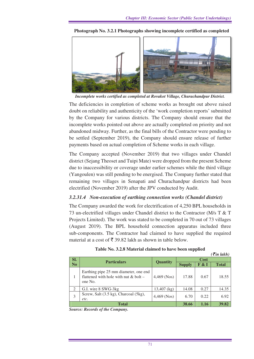

**Photograph No. 3.2.1 Photographs showing incomplete certified as completed** 

*Incomplete works certified as completed at Rovakot Village, Churachandpur District.* 

The deficiencies in completion of scheme works as brought out above raised doubt on reliability and authenticity of the 'work completion reports' submitted by the Company for various districts. The Company should ensure that the incomplete works pointed out above are actually completed on priority and not abandoned midway. Further, as the final bills of the Contractor were pending to be settled (September 2019), the Company should ensure release of further payments based on actual completion of Scheme works in each village.

The Company accepted (November 2019) that two villages under Chandel district (Sejang Theoset and Tuipi Mate) were dropped from the present Scheme due to inaccessibility or coverage under earlier schemes while the third village (Yangoulen) was still pending to be energised. The Company further stated that remaining two villages in Senapati and Churachandpur districts had been electrified (November 2019) after the JPV conducted by Audit.

## *3.2.31.4 Non-execution of earthing connection works (Chandel district)*

The Company awarded the work for electrification of 4,250 BPL households in 73 un-electrified villages under Chandel district to the Contractor (M/s T & T Projects Limited). The work was stated to be completed in 70 out of 73 villages (August 2019). The BPL household connection apparatus included three sub-components. The Contractor had claimed to have supplied the required material at a cost of  $\bar{\tau}$  39.82 lakh as shown in table below.

|                |                                                                                             |                 |               |       | $($ ₹in lakh $)$ |
|----------------|---------------------------------------------------------------------------------------------|-----------------|---------------|-------|------------------|
| SI.            | <b>Particulars</b>                                                                          |                 | <b>Cost</b>   |       |                  |
| N <sub>0</sub> |                                                                                             | <b>Quantity</b> | <b>Supply</b> | F & I | <b>Total</b>     |
| 1              | Earthing pipe 25 mm diameter, one end<br>flattened with hole with nut $&$ bolt –<br>one No. | $4,469$ (Nos)   | 17.88         | 0.67  | 18.55            |
| 2              | G.I. wire 8 SWG-3kg                                                                         | $13,407$ (kg)   | 14.08         | 0.27  | 14.35            |
| 3              | Screw, Salt (3.5 kg), Charcoal (5kg),<br>etc.                                               | $4,469$ (Nos)   | 6.70          | 0.22  | 6.92             |
|                | <b>Total</b>                                                                                | 38.66           | 1.16          | 39.82 |                  |

#### **Table No. 3.2.8 Material claimed to have been supplied**

*Source: Records of the Company.*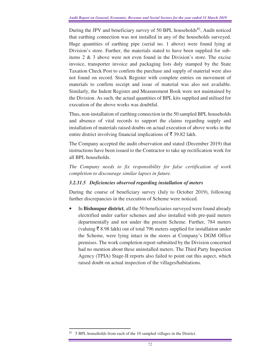During the JPV and beneficiary survey of 50 BPL households<sup>82</sup>, Audit noticed that earthing connection was not installed in any of the households surveyed. Huge quantities of earthing pipe (serial no. 1 above) were found lying at Division's store. Further, the materials stated to have been supplied for subitems 2 & 3 above were not even found in the Division's store. The excise invoice, transporter invoice and packaging lists duly stamped by the State Taxation Check Post to confirm the purchase and supply of material were also not found on record. Stock Register with complete entries on movement of materials to confirm receipt and issue of material was also not available. Similarly, the Indent Register and Measurement Book were not maintained by the Division. As such, the actual quantities of BPL kits supplied and utilised for execution of the above works was doubtful.

Thus, non-installation of earthing connection in the 50 sampled BPL households and absence of vital records to support the claims regarding supply and installation of materials raised doubts on actual execution of above works in the entire district involving financial implications of  $\bar{\tau}$  39.82 lakh.

The Company accepted the audit observation and stated (December 2019) that instructions have been issued to the Contractor to take up rectification work for all BPL households.

*The Company needs to fix responsibility for false certification of work completion to discourage similar lapses in future.* 

## *3.2.31.5 Deficiencies observed regarding installation of meters*

During the course of beneficiary survey (July to October 2019), following further discrepancies in the execution of Scheme were noticed.

• In **Bishnupur district**, all the 50 beneficiaries surveyed were found already electrified under earlier schemes and also installed with pre-paid meters departmentally and not under the present Scheme. Further, 784 meters (valuing  $\bar{\tau}$  8.98 lakh) out of total 796 meters supplied for installation under the Scheme, were lying intact in the stores at Company's DGM Office premises. The work completion report submitted by the Division concerned had no mention about these uninstalled meters. The Third Party Inspection Agency (TPIA) Stage-II reports also failed to point out this aspect, which raised doubt on actual inspection of the villages/habitations.

<sup>&</sup>lt;sup>82</sup> 5 BPL households from each of the 10 sampled villages in the District.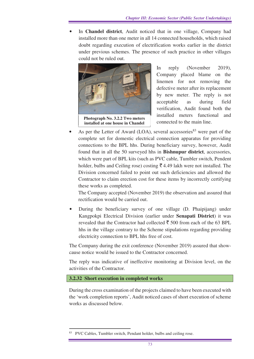• In **Chandel district**, Audit noticed that in one village, Company had installed more than one meter in all 14 connected households, which raised doubt regarding execution of electrification works earlier in the district under previous schemes. The presence of such practice in other villages could not be ruled out.



In reply (November 2019), Company placed blame on the linemen for not removing the defective meter after its replacement by new meter. The reply is not acceptable as during field verification, Audit found both the installed meters functional and connected to the main line.

As per the Letter of Award (LOA), several accessories $83$  were part of the complete set for domestic electrical connection apparatus for providing connections to the BPL hhs. During beneficiary survey, however, Audit found that in all the 50 surveyed hhs in **Bishnupur district**, accessories, which were part of BPL kits (such as PVC cable, Tumbler switch, Pendent holder, bulbs and Ceiling rose) costing  $\bar{\xi}$  4.49 lakh were not installed. The Division concerned failed to point out such deficiencies and allowed the Contractor to claim erection cost for these items by incorrectly certifying these works as completed.

The Company accepted (November 2019) the observation and assured that rectification would be carried out.

• During the beneficiary survey of one village (D. Phaipijang) under Kangpokpi Electrical Division (earlier under **Senapati District**) it was revealed that the Contractor had collected  $\bar{\xi}$  500 from each of the 63 BPL hhs in the village contrary to the Scheme stipulations regarding providing electricity connection to BPL hhs free of cost.

The Company during the exit conference (November 2019) assured that showcause notice would be issued to the Contractor concerned.

The reply was indicative of ineffective monitoring at Division level, on the activities of the Contractor.

## **3.2.32 Short execution in completed works**

 $\overline{a}$ 

During the cross examination of the projects claimed to have been executed with the 'work completion reports', Audit noticed cases of short execution of scheme works as discussed below.

<sup>&</sup>lt;sup>83</sup> PVC Cables, Tumbler switch, Pendant holder, bulbs and ceiling rose.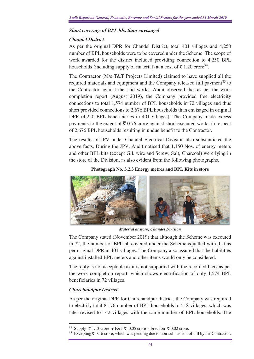## *Short coverage of BPL hhs than envisaged*

## *Chandel District*

As per the original DPR for Chandel District, total 401 villages and 4,250 number of BPL households were to be covered under the Scheme. The scope of work awarded for the district included providing connection to 4,250 BPL households (including supply of material) at a cost of  $\bar{\mathfrak{F}}$  1.20 crore<sup>84</sup>.

The Contractor (M/s T&T Projects Limited) claimed to have supplied all the required materials and equipment and the Company released full payment<sup>85</sup> to the Contractor against the said works. Audit observed that as per the work completion report (August 2019), the Company provided free electricity connections to total 1,574 number of BPL households in 72 villages and thus short provided connections to 2,676 BPL households than envisaged in original DPR (4,250 BPL beneficiaries in 401 villages). The Company made excess payments to the extent of  $\bar{\xi}$  0.76 crore against short executed works in respect of 2,676 BPL households resulting in undue benefit to the Contractor.

The results of JPV under Chandel Electrical Division also substantiated the above facts. During the JPV, Audit noticed that 1,150 Nos. of energy meters and other BPL kits (except G.I. wire and Screw, Salt, Charcoal) were lying in the store of the Division, as also evident from the following photographs.

## **Photograph No. 3.2.3 Energy metres and BPL Kits in store**



*Material at store, Chandel Division*

The Company stated (November 2019) that although the Scheme was executed in 72, the number of BPL hh covered under the Scheme equalled with that as per original DPR in 401 villages. The Company also assured that the liabilities against installed BPL meters and other items would only be considered.

The reply is not acceptable as it is not supported with the recorded facts as per the work completion report, which shows electrification of only 1,574 BPL beneficiaries in 72 villages.

## *Churchandpur District*

As per the original DPR for Churchandpur district, the Company was required to electrify total 8,176 number of BPL households in 518 villages, which was later revised to 142 villages with the same number of BPL households. The

 $\overline{a}$  $84$  Supply- ₹ 1.13 crore + F&I- ₹ 0.05 crore + Erection- ₹ 0.02 crore.

Excepting  $\bar{\xi}$  0.16 crore, which was pending due to non-submission of bill by the Contractor.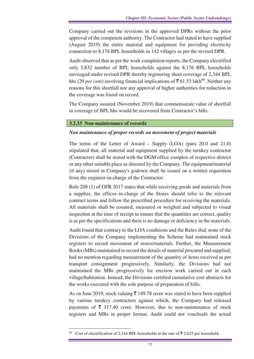Company carried out the revisions in the approved DPRs without the prior approval of the competent authority. The Contractor had stated to have supplied (August 2019) the entire material and equipment for providing electricity connection to 8,176 BPL households in 142 villages as per the revised DPR.

Audit observed that as per the work completion reports, the Company electrified only 5,832 number of BPL households against the 8,176 BPL households envisaged under revised DPR thereby registering short coverage of 2,344 BPL hhs (29 *per cent*) involving financial implications of  $\bar{c}$  61.53 lakh<sup>86</sup>. Neither any reasons for this shortfall nor any approval of higher authorities for reduction in the coverage was found on record.

The Company assured (November 2019) that commensurate value of shortfall in coverage of BPL hhs would be recovered from Contractor's bills.

## **3.2.33 Non-maintenance of records**

## *Non maintenance of proper records on movement of project materials*

The terms of the Letter of Award – Supply (LOA) (para 20.0 and 21.0) stipulated that, all material and equipment supplied by the turnkey contractor (Contractor) shall be stored with the DGM office complex of respective district or any other suitable place as directed by the Company. The equipment/material (if any) stored in Company's godown shall be issued on a written requisition from the engineer-in-charge of the Contractor.

Rule 208 (1) of GFR 2017 states that while receiving goods and materials from a supplier, the officer–in-charge of the Stores should refer to the relevant contract terms and follow the prescribed procedure for receiving the materials. All materials shall be counted, measured or weighed and subjected to visual inspection at the time of receipt to ensure that the quantities are correct, quality is as per the specifications and there is no damage or deficiency in the materials.

Audit found that contrary to the LOA conditions and the Rules *ibid,* none of the Divisions of the Company implementing the Scheme had maintained stock registers to record movement of stores/materials*.* Further, the Measurement Books (MBs) maintained to record the details of material procured and supplied, had no mention regarding measurement of the quantity of items received as per transport consignment progressively. Similarly, the Divisions had not maintained the MBs progressively for erection work carried out in each village/habitation. Instead, the Divisions certified cumulative cost abstracts for the works executed with the sole purpose of preparation of bills.

As on June 2019, stock valuing  $\bar{\xi}$  149.78 crore was stated to have been supplied by various turnkey contractors against which, the Company had released payments of  $\bar{\tau}$  117.40 crore. However, due to non-maintenance of stock registers and MBs in proper format, Audit could not vouchsafe the actual

<sup>&</sup>lt;sup>86</sup> Cost of electrification of 2,344 BPL households at the rate of  $\overline{5}$  2,625 per household.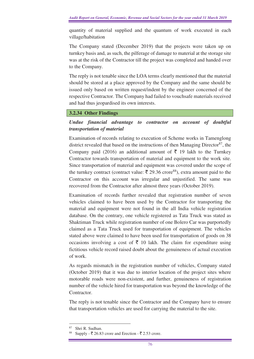quantity of material supplied and the quantum of work executed in each village/habitation

The Company stated (December 2019) that the projects were taken up on turnkey basis and, as such, the pilferage of damage to material at the storage site was at the risk of the Contractor till the project was completed and handed over to the Company.

The reply is not tenable since the LOA terms clearly mentioned that the material should be stored at a place approved by the Company and the same should be issued only based on written request/indent by the engineer concerned of the respective Contractor. The Company had failed to vouchsafe materials received and had thus jeopardised its own interests.

## **3.2.34 Other Findings**

## *Undue financial advantage to contractor on account of doubtful transportation of material*

Examination of records relating to execution of Scheme works in Tamenglong district revealed that based on the instructions of then Managing Director<sup>87</sup>, the Company paid (2016) an additional amount of  $\bar{\tau}$  19 lakh to the Turnkey Contractor towards transportation of material and equipment to the work site. Since transportation of material and equipment was covered under the scope of the turnkey contract (contract value:  $\bar{\tau}$  29.36 crore<sup>88</sup>), extra amount paid to the Contractor on this account was irregular and unjustified. The same was recovered from the Contractor after almost three years (October 2019).

Examination of records further revealed that registration number of seven vehicles claimed to have been used by the Contractor for transporting the material and equipment were not found in the all India vehicle registration database. On the contrary, one vehicle registered as Tata Truck was stated as Shaktiman Truck while registration number of one Bolero Car was purportedly claimed as a Tata Truck used for transportation of equipment. The vehicles stated above were claimed to have been used for transportation of goods on 38 occasions involving a cost of  $\bar{\xi}$  10 lakh. The claim for expenditure using fictitious vehicle record raised doubt about the genuineness of actual execution of work.

As regards mismatch in the registration number of vehicles, Company stated (October 2019) that it was due to interior location of the project sites where motorable roads were non-existent, and further, genuineness of registration number of the vehicle hired for transportation was beyond the knowledge of the **Contractor** 

The reply is not tenable since the Contractor and the Company have to ensure that transportation vehicles are used for carrying the material to the site.

 $\overline{a}$ <sup>87</sup> Shri R. Sudhan.

Supply  $-\overline{5}$  26.83 crore and Erection  $-\overline{5}$  2.53 crore.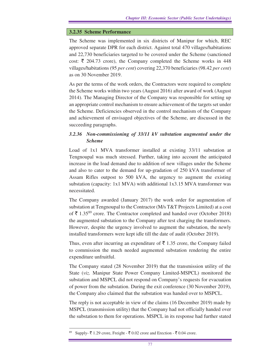#### **3.2.35 Scheme Performance**

The Scheme was implemented in six districts of Manipur for which, REC approved separate DPR for each district. Against total 470 villages/habitations and 22,730 beneficiaries targeted to be covered under the Scheme (sanctioned cost:  $\bar{\tau}$  204.73 crore), the Company completed the Scheme works in 448 villages/habitations (95 *per cent*) covering 22,370 beneficiaries (98.42 *per cent*) as on 30 November 2019.

As per the terms of the work orders, the Contractors were required to complete the Scheme works within two years (August 2016) after award of work (August 2014). The Managing Director of the Company was responsible for setting up an appropriate control mechanism to ensure achievement of the targets set under the Scheme. Deficiencies observed in the control mechanism of the Company and achievement of envisaged objectives of the Scheme, are discussed in the succeeding paragraphs.

## *3.2.36**Non-commissioning of 33/11 kV substation augmented under the Scheme*

Load of 1x1 MVA transformer installed at existing 33/11 substation at Tengnoupal was much stressed. Further, taking into account the anticipated increase in the load demand due to addition of new villages under the Scheme and also to cater to the demand for up-gradation of 250 kVA transformer of Assam Rifles outpost to 500 kVA, the urgency to augment the existing substation (capacity: 1x1 MVA) with additional 1x3.15 MVA transformer was necessitated.

The Company awarded (January 2017) the work order for augmentation of substation at Tengnoupal to the Contractor (M/s T&T Projects Limited) at a cost of  $\bar{\tau}$  1.35<sup>89</sup> crore. The Contractor completed and handed over (October 2018) the augmented substation to the Company after test charging the transformers. However, despite the urgency involved to augment the substation, the newly installed transformers were kept idle till the date of audit (October 2019).

Thus, even after incurring an expenditure of  $\bar{\tau}$  1.35 crore, the Company failed to commission the much needed augmented substation rendering the entire expenditure unfruitful.

The Company stated (28 November 2019) that the transmission utility of the State (*viz.* Manipur State Power Company Limited-MSPCL) monitored the substation and MSPCL did not respond on Company's requests for evacuation of power from the substation. During the exit conference (30 November 2019), the Company also claimed that the substation was handed over to MSPCL.

The reply is not acceptable in view of the claims (16 December 2019) made by MSPCL (transmission utility) that the Company had not officially handed over the substation to them for operations. MSPCL in its response had further stated

Supply-  $\bar{\mathfrak{c}}$  1.29 crore, Freight -  $\bar{\mathfrak{c}}$  0.02 crore and Erection -  $\bar{\mathfrak{c}}$  0.04 crore.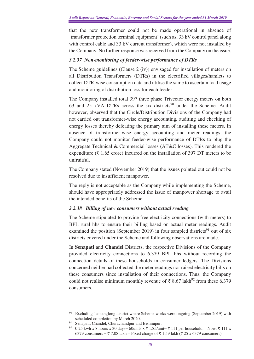that the new transformer could not be made operational in absence of 'transformer protection terminal equipment' (such as, 33 kV control panel along with control cable and 33 kV current transformer), which were not installed by the Company. No further response was received from the Company on the issue.

## *3.2.37 Non-monitoring of feeder-wise performance of DTRs*

The Scheme guidelines (Clause 2 (iv)) envisaged for installation of meters on all Distribution Transformers (DTRs) in the electrified villages/hamlets to collect DTR-wise consumption data and utilise the same to ascertain load usage and monitoring of distribution loss for each feeder.

The Company installed total 397 three phase Trivector energy meters on both 63 and 25 kVA DTRs across the six districts<sup>90</sup> under the Scheme. Audit however, observed that the Circle/Distribution Divisions of the Company had not carried out transformer-wise energy accounting, auditing and checking of energy losses thereby defeating the primary aim of installing these meters. In absence of transformer-wise energy accounting and meter readings, the Company could not monitor feeder-wise performance of DTRs to plug the Aggregate Technical & Commercial losses (AT&C losses). This rendered the expenditure ( $\bar{\tau}$  1.65 crore) incurred on the installation of 397 DT meters to be unfruitful.

The Company stated (November 2019) that the issues pointed out could not be resolved due to insufficient manpower.

The reply is not acceptable as the Company while implementing the Scheme, should have appropriately addressed the issue of manpower shortage to avail the intended benefits of the Scheme.

## *3.2.38**Billing of new consumers without actual reading*

The Scheme stipulated to provide free electricity connections (with meters) to BPL rural hhs to ensure their billing based on actual meter readings. Audit examined the position (September 2019) in four sampled districts<sup>91</sup> out of six districts covered under the Scheme and following observations are made.

In **Senapati** and **Chandel** Districts, the respective Divisions of the Company provided electricity connections to 6,379 BPL hhs without recording the connection details of these households in consumer ledgers. The Divisions concerned neither had collected the meter readings nor raised electricity bills on these consumers since installation of their connections. Thus, the Company could not realise minimum monthly revenue of  $\bar{\mathfrak{c}}$  8.67 lakh<sup>92</sup> from these 6,379 consumers.

 $\overline{a}$ <sup>90</sup> Excluding Tamenglong district where Scheme works were ongoing (September 2019) with scheduled completion by March 2020.

Senapati, Chandel, Churachandpur and Bishnupur.

<sup>&</sup>lt;sup>92</sup> 0.25 kwh x 8 hours x 30 days= 60units x  $\bar{\tau}$  1.85/unit=  $\bar{\tau}$  111 per household. Now,  $\bar{\tau}$  111 x 6379 consumers =  $\overline{5}$  7.08 lakh + Fixed charge of  $\overline{5}$  1.59 lakh ( $\overline{5}$  25 x 6379 consumers).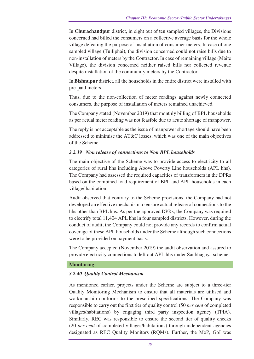In **Churachandpur** district, in eight out of ten sampled villages, the Divisions concerned had billed the consumers on a collective average basis for the whole village defeating the purpose of installation of consumer meters. In case of one sampled village (Tuiliphai), the division concerned could not raise bills due to non-installation of meters by the Contractor. In case of remaining village (Maite Village), the division concerned neither raised bills nor collected revenue despite installation of the community meters by the Contractor.

In **Bishnupur** district, all the households in the entire district were installed with pre-paid meters.

Thus, due to the non-collection of meter readings against newly connected consumers, the purpose of installation of meters remained unachieved.

The Company stated (November 2019) that monthly billing of BPL households as per actual meter reading was not feasible due to acute shortage of manpower.

The reply is not acceptable as the issue of manpower shortage should have been addressed to minimise the AT&C losses, which was one of the main objectives of the Scheme.

## *3.2.39 Non release of connections to Non BPL households*

The main objective of the Scheme was to provide access to electricity to all categories of rural hhs including Above Poverty Line households (APL hhs). The Company had assessed the required capacities of transformers in the DPRs based on the combined load requirement of BPL and APL households in each village/ habitation.

Audit observed that contrary to the Scheme provisions, the Company had not developed an effective mechanism to ensure actual release of connections to the hhs other than BPL hhs. As per the approved DPRs, the Company was required to electrify total 11,404 APL hhs in four sampled districts. However, during the conduct of audit, the Company could not provide any records to confirm actual coverage of these APL households under the Scheme although such connections were to be provided on payment basis.

The Company accepted (November 2019) the audit observation and assured to provide electricity connections to left out APL hhs under Saubhagaya scheme.

#### **Monitoring**

## *3.2.40 Quality Control Mechanism*

As mentioned earlier*,* projects under the Scheme are subject to a three-tier Quality Monitoring Mechanism to ensure that all materials are utilised and workmanship conforms to the prescribed specifications. The Company was responsible to carry out the first tier of quality control (50 *per cent* of completed villages/habitations) by engaging third party inspection agency (TPIA). Similarly, REC was responsible to ensure the second tier of quality checks (20 *per cent* of completed villages/habitations) through independent agencies designated as REC Quality Monitors (RQMs). Further, the MoP, GoI was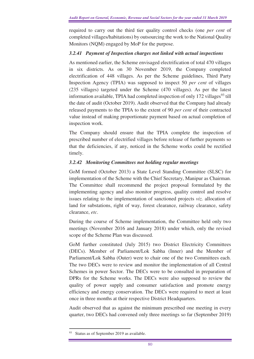required to carry out the third tier quality control checks (one *per cent* of completed villages/habitations) by outsourcing the work to the National Quality Monitors (NQM) engaged by MoP for the purpose.

## *3.2.41**Payment of Inspection charges not linked with actual inspections*

As mentioned earlier, the Scheme envisaged electrification of total 470 villages in six districts. As on 30 November 2019, the Company completed electrification of 448 villages. As per the Scheme guidelines, Third Party Inspection Agency (TPIA) was supposed to inspect 50 *per cent* of villages (235 villages) targeted under the Scheme (470 villages). As per the latest information available, TPIA had completed inspection of only  $172$  villages<sup>93</sup> till the date of audit (October 2019). Audit observed that the Company had already released payments to the TPIA to the extent of 90 *per cent* of their contracted value instead of making proportionate payment based on actual completion of inspection work.

The Company should ensure that the TPIA complete the inspection of prescribed number of electrified villages before release of further payments so that the deficiencies, if any, noticed in the Scheme works could be rectified timely.

## *3.2.42**Monitoring Committees not holding regular meetings*

GoM formed (October 2013) a State Level Standing Committee (SLSC) for implementation of the Scheme with the Chief Secretary, Manipur as Chairman. The Committee shall recommend the project proposal formulated by the implementing agency and also monitor progress, quality control and resolve issues relating to the implementation of sanctioned projects *viz.* allocation of land for substations, right of way, forest clearance, railway clearance, safety clearance, *etc*.

During the course of Scheme implementation, the Committee held only two meetings (November 2016 and January 2018) under which, only the revised scope of the Scheme Plan was discussed.

GoM further constituted (July 2015) two District Electricity Committees (DECs). Member of Parliament/Lok Sabha (Inner) and the Member of Parliament/Lok Sabha (Outer) were to chair one of the two Committees each. The two DECs were to review and monitor the implementation of all Central Schemes in power Sector. The DECs were to be consulted in preparation of DPRs for the Scheme works. The DECs were also supposed to review the quality of power supply and consumer satisfaction and promote energy efficiency and energy conservation. The DECs were required to meet at least once in three months at their respective District Headquarters.

Audit observed that as against the minimum prescribed one meeting in every quarter, two DECs had convened only three meetings so far (September 2019)

<sup>&</sup>lt;sup>93</sup> Status as of September 2019 as available.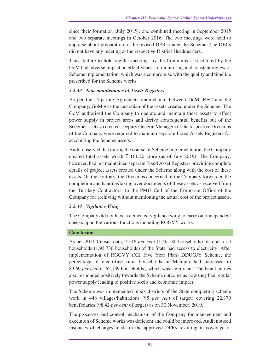since their formation (July 2015); one combined meeting in September 2015 and two separate meetings in October 2016. The two meetings were held to appraise about preparation of the revised DPRs under the Scheme. The DECs did not have any meeting at the respective District Headquarters.

Thus, failure to hold regular meetings by the Committees constituted by the GoM had adverse impact on effectiveness of monitoring and constant review of Scheme implementation, which was a compromise with the quality and timeline prescribed for the Scheme works.

## *3.2.43**Non-maintenance of Assets Registers*

As per the Tripartite Agreement entered into between GoM, REC and the Company, GoM was the custodian of the assets created under the Scheme. The GoM authorised the Company to operate and maintain these assets to effect power supply in project areas and derive consequential benefits out of the Scheme assets so created. Deputy General Managers of the respective Divisions of the Company were required to maintain separate Fixed Assets Registers for accounting the Scheme assets.

Audit observed that during the course of Scheme implementation, the Company created total assets worth  $\bar{\tau}$  161.20 crore (as of July 2019). The Company, however, had not maintained separate Fixed Asset Registers providing complete details of project assets created under the Scheme along with the cost of these assets. On the contrary, the Divisions concerned of the Company forwarded the completion and handing/taking over documents of these assets as received from the Turnkey Contractors, to the PMU Cell of the Corporate Office of the Company for archiving without mentioning the actual cost of the project assets.

## *3.2.44 Vigilance Wing*

The Company did not have a dedicated vigilance wing to carry out independent checks upon the various functions including RGGVY works.

## **Conclusion**

As per 2011 Census data, 75.46 *per cent* (1,46,180 households) of total rural households (1,93,730 households) of the State had access to electricity. After implementation of RGGVY (XII Five Year Plan) DDUGJY Scheme, the percentage of electrified rural households in Manipur had increased to 83.69 *per cent* (1,62,139 households), which was significant. The beneficiaries also responded positively towards the Scheme outcome as now they had regular power supply leading to positive socio and economic impact.

The Scheme was implemented in six districts of the State completing scheme work in 448 villages/habitations (95 *per cent* of target) covering 22,370 beneficiaries (98.42 *per cent* of target) as on 30 November, 2019.

The processes and control mechanism of the Company for management and execution of Scheme works was deficient and could be improved. Audit noticed instances of changes made in the approved DPRs resulting in coverage of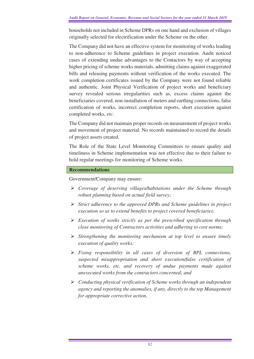households not included in Scheme DPRs on one hand and exclusion of villages originally selected for electrification under the Scheme on the other.

The Company did not have an effective system for monitoring of works leading to non-adherence to Scheme guidelines in project execution. Audit noticed cases of extending undue advantages to the Contactors by way of accepting higher pricing of scheme works materials, admitting claims against exaggerated bills and releasing payments without verification of the works executed. The work completion certificates issued by the Company were not found reliable and authentic. Joint Physical Verification of project works and beneficiary survey revealed serious irregularities such as, excess claims against the beneficiaries covered, non-installation of meters and earthing connections, false certification of works, incorrect completion reports, short execution against completed works, *etc*.

The Company did not maintain proper records on measurement of project works and movement of project material. No records maintained to record the details of project assets created.

The Role of the State Level Monitoring Committees to ensure quality and timeliness in Scheme implementation was not effective due to their failure to hold regular meetings for monitoring of Scheme works.

## **Recommendations**

Government/Company may ensure:

- *Coverage of deserving villages/habitations under the Scheme through robust planning based on actual field survey;*
- *Strict adherence to the approved DPRs and Scheme guidelines in project execution so as to extend benefits to project covered beneficiaries;*
- *Execution of works strictly as per the prescribed specification through close monitoring of Contractors activities and adhering to cost norms;*
- *Strengthening the monitoring mechanism at top level to ensure timely execution of quality works;*
- *Fixing responsibility in all cases of diversion of BPL connections, suspected misappropriation and short execution/false certification of scheme works, etc. and recovery of undue payments made against unexecuted works from the contractors concerned; and*
- *Conducting physical verification of Scheme works through an independent agency and reporting the anomalies, if any, directly to the top Management for appropriate corrective action.*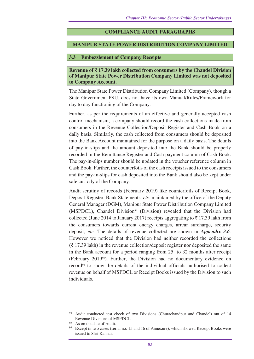## **COMPLIANCE AUDIT PARAGRAPHS**

#### **MANIPUR STATE POWER DISTRIBUTION COMPANY LIMITED**

#### **3.3 Embezzlement of Company Receipts**

**Revenue of** ` **17.39 lakh collected from consumers by the Chandel Division of Manipur State Power Distribution Company Limited was not deposited to Company Account.** 

The Manipur State Power Distribution Company Limited (Company), though a State Government PSU, does not have its own Manual/Rules/Framework for day to day functioning of the Company.

Further, as per the requirements of an effective and generally accepted cash control mechanism, a company should record the cash collections made from consumers in the Revenue Collection/Deposit Register and Cash Book on a daily basis. Similarly, the cash collected from consumers should be deposited into the Bank Account maintained for the purpose on a daily basis. The details of pay-in-slips and the amount deposited into the Bank should be properly recorded in the Remittance Register and Cash payment column of Cash Book. The pay-in-slips number should be updated in the voucher reference column in Cash Book. Further, the counterfoils of the cash receipts issued to the consumers and the pay-in-slips for cash deposited into the Bank should also be kept under safe custody of the Company.

Audit scrutiny of records (February 2019) like counterfoils of Receipt Book, Deposit Register, Bank Statements, *etc*. maintained by the office of the Deputy General Manager (DGM), Manipur State Power Distribution Company Limited (MSPDCL), Chandel Division<sup>94</sup> (Division) revealed that the Division had collected (June 2014 to January 2017) receipts aggregating to  $\bar{\tau}$  17.39 lakh from the consumers towards current energy charges, arrear surcharge, security deposit, *etc*. The details of revenue collected are shown in *Appendix 3.6*. However we noticed that the Division had neither recorded the collections  $(\bar{\mathcal{F}}$  17.39 lakh) in the revenue collection/deposit register nor deposited the same in the Bank account for a period ranging from 25 to 32 months after receipt (February 201995). Further, the Division had no documentary evidence on record96 to show the details of the individual officials authorised to collect revenue on behalf of MSPDCL or Receipt Books issued by the Division to such individuals.

<sup>&</sup>lt;sup>94</sup> Audit conducted test check of two Divisions (Churachandpur and Chandel) out of 14 Revenue Divisions of MSPDCL.

As on the date of Audit.

Except in two cases (serial no. 15 and 16 of Annexure), which showed Receipt Books were issued to Shri Kanhai.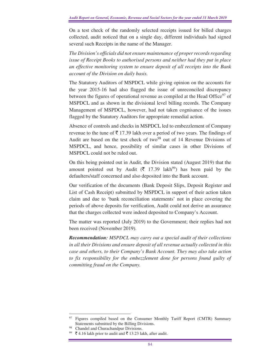On a test check of the randomly selected receipts issued for billed charges collected, audit noticed that on a single day, different individuals had signed several such Receipts in the name of the Manager.

*The Division's officials did not ensure maintenance of proper records regarding issue of Receipt Books to authorised persons and neither had they put in place an effective monitoring system to ensure deposit of all receipts into the Bank account of the Division on daily basis.* 

The Statutory Auditors of MSPDCL while giving opinion on the accounts for the year 2015-16 had also flagged the issue of unreconciled discrepancy between the figures of operational revenue as compiled at the Head Office<sup>97</sup> of MSPDCL and as shown in the divisional level billing records. The Company Management of MSPDCL, however, had not taken cognisance of the issues flagged by the Statutory Auditors for appropriate remedial action.

Absence of controls and checks in MSPDCL led to embezzlement of Company revenue to the tune of  $\bar{\xi}$  17.39 lakh over a period of two years. The findings of Audit are based on the test check of two $98$  out of 14 Revenue Divisions of MSPDCL, and hence, possibility of similar cases in other Divisions of MSPDCL could not be ruled out.

On this being pointed out in Audit, the Division stated (August 2019) that the amount pointed out by Audit ( $\bar{\tau}$  17.39 lakh<sup>99</sup>) has been paid by the defaulters/staff concerned and also deposited into the Bank account.

Our verification of the documents (Bank Deposit Slips, Deposit Register and List of Cash Receipt) submitted by MSPDCL in support of their action taken claim and due to 'bank reconciliation statements' not in place covering the periods of above deposits for verification, Audit could not derive an assurance that the charges collected were indeed deposited to Company's Account.

The matter was reported (July 2019) to the Government; their replies had not been received (November 2019).

*Recommendation: MSPDCL may carry out a special audit of their collections in all their Divisions and ensure deposit of all revenue actually collected in this case and others, to their Company's Bank Account. They may also take action to fix responsibility for the embezzlement done for persons found guilty of committing fraud on the Company.* 

<sup>&</sup>lt;sup>97</sup> Figures compiled based on the Consumer Monthly Tariff Report (CMTR) Summary Statements submitted by the Billing Divisions.

Chandel and Churachandpur Divisions.

 $\bar{\xi}$  4.16 lakh prior to audit and  $\bar{\xi}$  13.23 lakh, after audit.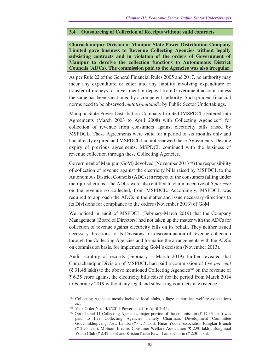## **3.4 Outsourcing of Collection of Receipts without valid contracts**

**Churachandpur Division of Manipur State Power Distribution Company Limited gave business to Revenue Collecting Agencies without legally subsisting contracts and in violation of the orders of Government of Manipur to devolve the collection functions to Autonomous District Councils (ADCs). The commission paid to the Agencies was also irregular.** 

As per Rule 22 of the General Financial Rules 2005 and 2017, no authority may incur any expenditure or enter into any liability involving expenditure or transfer of moneys for investment or deposit from Government account unless the same has been sanctioned by a competent authority. Such prudent financial norms need to be observed *mutatis-mutandis* by Public Sector Undertakings.

Manipur State Power Distribution Company Limited (MSPDCL) entered into Agreements (March 2003 to April 2008) with Collecting Agencies<sup>100</sup> for collection of revenue from consumers against electricity bills raised by MSPDCL. These Agreements were valid for a period of six months only and had already expired and MSPDCL had not renewed these Agreements. Despite expiry of previous agreements, MSPDCL continued with the business of revenue collection through these Collecting Agencies.

Government of Manipur (GoM) devolved (November 2013<sup>101</sup>) the responsibility of collection of revenue against the electricity bills raised by MSPDCL to the Autonomous District Councils (ADCs) in respect of the consumers falling under their jurisdictions. The ADCs were also entitled to claim incentive of 5 *per cent* on the revenue so collected, from MSPDCL. Accordingly, MSPDCL was required to approach the ADCs in the matter and issue necessary directions to its Divisions for compliance to the orders (November 2013) of GoM.

We noticed in audit of MSPDCL (February-March 2019) that the Company Management (Board of Directors) had not taken up the matter with the ADCs for collection of revenue against electricity bills on its behalf. They neither issued necessary directions to its Divisions for discontinuation of revenue collection through the Collecting Agencies and formalise the arrangements with the ADCs on commission basis, for implementing GoM's decision (November 2013).

Audit scrutiny of records (February – March 2019) further revealed that Churachandpur Division of MSPDCL had paid a commission of five *per cent*   $(\bar{\mathfrak{F}} 31.48$  lakh) to the above mentioned Collecting Agencies<sup>102</sup> on the revenue of  $\bar{\xi}$  6.35 crore against the electricity bills raised for the period from March 2014 to February 2019 without any legal and subsisting contracts in existence.

<sup>&</sup>lt;sup>100</sup> Collecting Agencies mostly included local clubs, village authorities, welfare associations *etc.*

<sup>101</sup> Vide Order No. 14/7/2011-Power dated 16 April 2011.

<sup>&</sup>lt;sup>102</sup> Out of total 11 Collecting Agencies, major portion of the commission ( $\bar{z}$  17.33 lakh) was paid to five Collecting Agencies namely Chairman, Development Committee Gouchinkhupveng, New Lamba ( $\bar{\bar{\zeta}}$  6.77 lakh); Hmar Youth Association Rangkai Branch  $(\bar{\mathfrak{F}} 2.95$  lakh); Molnom Electric Consumer Welfare Association ( $\bar{\mathfrak{F}} 2.90$  lakh); Bungmual Youth Club ( $\bar{\mathcal{R}}$  2.42 lakh) and KristanThalai Pawl, LamkaChhim ( $\bar{\mathcal{R}}$  2.30 lakh).